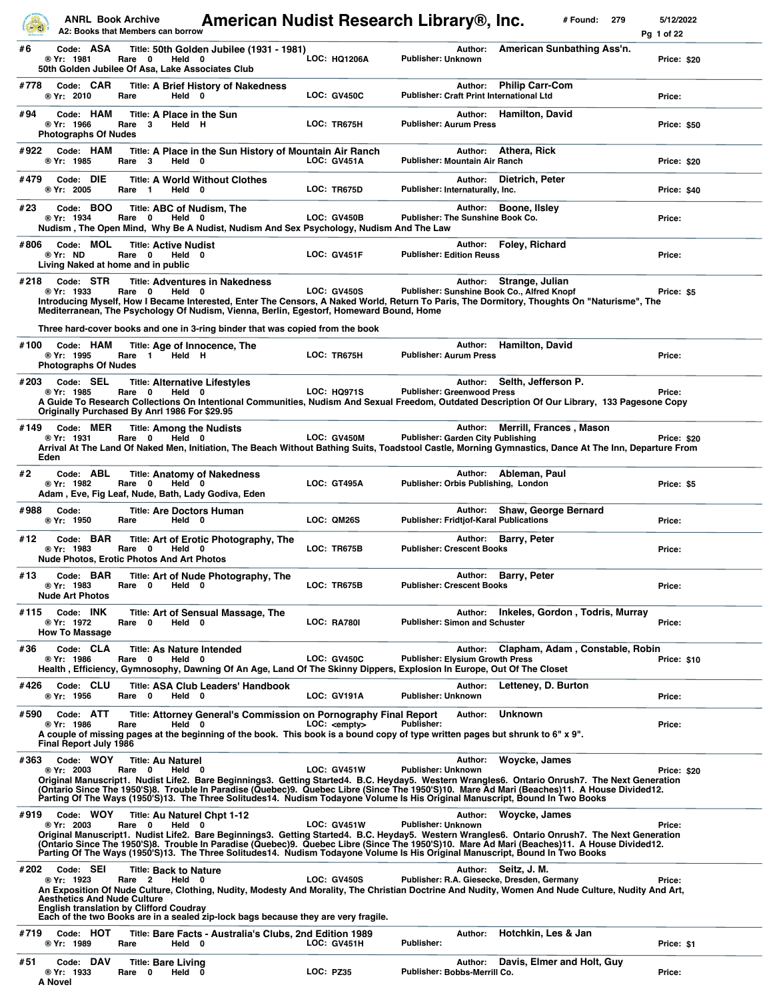|              | <b>ANRL Book Archive</b>                                      | A2: Books that Members can borrow                                                                             | American Nudist Research Library®, Inc.                                                                                                                                                                                                                                                                                                                                                                                      |                      |                                               |         | # Found:                                                                  | 279 | 5/12/2022<br>Pg 1 of 22 |
|--------------|---------------------------------------------------------------|---------------------------------------------------------------------------------------------------------------|------------------------------------------------------------------------------------------------------------------------------------------------------------------------------------------------------------------------------------------------------------------------------------------------------------------------------------------------------------------------------------------------------------------------------|----------------------|-----------------------------------------------|---------|---------------------------------------------------------------------------|-----|-------------------------|
| #6           | Code: ASA<br>® Yr: 1981                                       | Rare 0<br>Held 0<br>50th Golden Jubilee Of Asa, Lake Associates Club                                          | Title: 50th Golden Jubilee (1931 - 1981)                                                                                                                                                                                                                                                                                                                                                                                     | <b>LOC: HQ1206A</b>  | <b>Publisher: Unknown</b>                     | Author: | American Sunbathing Ass'n.                                                |     | Price: \$20             |
| #778         | Code: CAR<br>® Yr: 2010                                       | Held 0<br>Rare                                                                                                | <b>Title: A Brief History of Nakedness</b>                                                                                                                                                                                                                                                                                                                                                                                   | <b>LOC: GV450C</b>   |                                               | Author: | <b>Philip Carr-Com</b><br><b>Publisher: Craft Print International Ltd</b> |     | Price:                  |
| #94          | Code: HAM<br>® Yr: 1966<br><b>Photographs Of Nudes</b>        | Title: A Place in the Sun<br>Rare<br>3<br>Held H                                                              |                                                                                                                                                                                                                                                                                                                                                                                                                              | LOC: TR675H          | <b>Publisher: Aurum Press</b>                 | Author: | <b>Hamilton, David</b>                                                    |     | <b>Price: \$50</b>      |
| #922         | Code: HAM<br>® Yr: 1985                                       | Rare 3<br>Held 0                                                                                              | Title: A Place in the Sun History of Mountain Air Ranch                                                                                                                                                                                                                                                                                                                                                                      | <b>LOC: GV451A</b>   | <b>Publisher: Mountain Air Ranch</b>          | Author: | Athera, Rick                                                              |     | Price: \$20             |
| #479         | Code: DIE<br>® Yr: 2005                                       | Rare 1<br>Held 0                                                                                              | <b>Title: A World Without Clothes</b>                                                                                                                                                                                                                                                                                                                                                                                        | LOC: TR675D          | Publisher: Internaturally, Inc.               | Author: | Dietrich, Peter                                                           |     | Price: \$40             |
| #23          | Code: BOO<br>® Yr: 1934                                       | Title: ABC of Nudism, The<br>Rare 0<br>Held 0                                                                 | Nudism, The Open Mind, Why Be A Nudist, Nudism And Sex Psychology, Nudism And The Law                                                                                                                                                                                                                                                                                                                                        | <b>LOC: GV450B</b>   | Publisher: The Sunshine Book Co.              | Author: | Boone, Ilsley                                                             |     | Price:                  |
| #806         | Code: MOL<br>® Yr: ND                                         | <b>Title: Active Nudist</b><br>Rare 0<br>Held 0<br>Living Naked at home and in public                         |                                                                                                                                                                                                                                                                                                                                                                                                                              | <b>LOC: GV451F</b>   | <b>Publisher: Edition Reuss</b>               | Author: | Foley, Richard                                                            |     | Price:                  |
| #218         | Code: STR<br>® Yr: 1933                                       | Rare 0<br>Held 0                                                                                              | <b>Title: Adventures in Nakedness</b><br>Introducing Myself, How I Became Interested, Enter The Censors, A Naked World, Return To Paris, The Dormitory, Thoughts On "Naturisme", The<br>Mediterranean, The Psychology Of Nudism, Vienna, Berlin, Egestorf, Homeward Bound, Home                                                                                                                                              | <b>LOC: GV450S</b>   |                                               |         | Author: Strange, Julian<br>Publisher: Sunshine Book Co., Alfred Knopf     |     | Price: \$5              |
|              |                                                               |                                                                                                               | Three hard-cover books and one in 3-ring binder that was copied from the book                                                                                                                                                                                                                                                                                                                                                |                      |                                               |         |                                                                           |     |                         |
| #100         | Code: HAM<br>® Yr: 1995<br><b>Photographs Of Nudes</b>        | Title: Age of Innocence, The<br>Held H<br>Rare 1                                                              |                                                                                                                                                                                                                                                                                                                                                                                                                              | LOC: TR675H          | <b>Publisher: Aurum Press</b>                 | Author: | <b>Hamilton, David</b>                                                    |     | Price:                  |
| #203         | Code: SEL<br>® Yr: 1985                                       | <b>Title: Alternative Lifestyles</b><br>Rare 0<br>Held 0<br>Originally Purchased By Anrl 1986 For \$29.95     | A Guide To Research Collections On Intentional Communities, Nudism And Sexual Freedom, Outdated Description Of Our Library, 133 Pagesone Copy                                                                                                                                                                                                                                                                                | <b>LOC: HQ971S</b>   | <b>Publisher: Greenwood Press</b>             | Author: | Selth, Jefferson P.                                                       |     | Price:                  |
| #149<br>Eden | Code: MER<br>® Yr: 1931                                       | <b>Title: Among the Nudists</b><br>Rare 0<br>Held 0                                                           | Arrival At The Land Of Naked Men, Initiation, The Beach Without Bathing Suits, Toadstool Castle, Morning Gymnastics, Dance At The Inn, Departure From                                                                                                                                                                                                                                                                        | LOC: GV450M          | <b>Publisher: Garden City Publishing</b>      | Author: | <b>Merrill, Frances, Mason</b>                                            |     | Price: \$20             |
| #2           | Code: ABL<br>® Yr: 1982                                       | Rare<br>0<br>Held 0<br>Adam, Eve, Fig Leaf, Nude, Bath, Lady Godiva, Eden                                     | <b>Title: Anatomy of Nakedness</b>                                                                                                                                                                                                                                                                                                                                                                                           | LOC: GT495A          | Publisher: Orbis Publishing, London           | Author: | Ableman, Paul                                                             |     | Price: \$5              |
| #988         | Code:<br>® Yr: 1950                                           | Title: Are Doctors Human<br>Held 0<br>Rare                                                                    |                                                                                                                                                                                                                                                                                                                                                                                                                              | LOC: QM26S           | <b>Publisher: Fridtjof-Karal Publications</b> |         | Author: Shaw, George Bernard                                              |     | Price:                  |
| #12          | Code: BAR<br>® Yr: 1983                                       | Rare<br>$\mathbf 0$<br>Held<br><b>Nude Photos, Erotic Photos And Art Photos</b>                               | Title: Art of Erotic Photography, The<br>0                                                                                                                                                                                                                                                                                                                                                                                   | LOC: TR675B          | <b>Publisher: Crescent Books</b>              | Author: | <b>Barry, Peter</b>                                                       |     | Price:                  |
| #13          | Code: BAR<br>® Yr: 1983<br><b>Nude Art Photos</b>             | Rare<br>0<br>Held                                                                                             | Title: Art of Nude Photography, The<br>0                                                                                                                                                                                                                                                                                                                                                                                     | LOC: TR675B          | <b>Publisher: Crescent Books</b>              | Author: | <b>Barry, Peter</b>                                                       |     | Price:                  |
| #115         | Code: INK<br>® Yr: 1972<br><b>How To Massage</b>              | Rare 0<br>Held 0                                                                                              | Title: Art of Sensual Massage, The                                                                                                                                                                                                                                                                                                                                                                                           | <b>LOC: RA780I</b>   | <b>Publisher: Simon and Schuster</b>          | Author: | Inkeles, Gordon, Todris, Murray                                           |     | Price:                  |
| #36          | Code: CLA<br>® Yr: 1986                                       | <b>Title: As Nature Intended</b><br>Rare<br>0<br>Held 0                                                       | Health, Efficiency, Gymnosophy, Dawning Of An Age, Land Of The Skinny Dippers, Explosion In Europe, Out Of The Closet                                                                                                                                                                                                                                                                                                        | <b>LOC: GV450C</b>   | <b>Publisher: Elysium Growth Press</b>        | Author: | Clapham, Adam, Constable, Robin                                           |     | <b>Price: \$10</b>      |
| #426         | Code: CLU<br>® Yr: 1956                                       | Rare 0<br>Held 0                                                                                              | Title: ASA Club Leaders' Handbook                                                                                                                                                                                                                                                                                                                                                                                            | LOC: GV191A          | Publisher: Unknown                            | Author: | Letteney, D. Burton                                                       |     | Price:                  |
| #590         | Code: ATT<br>® Yr: 1986<br><b>Final Report July 1986</b>      | Held 0<br>Rare                                                                                                | Title: Attorney General's Commission on Pornography Final Report<br>A couple of missing pages at the beginning of the book. This book is a bound copy of type written pages but shrunk to 6" x 9".                                                                                                                                                                                                                           | LOC: <empty></empty> | <b>Publisher:</b>                             | Author: | <b>Unknown</b>                                                            |     | Price:                  |
| #363         | Code: WOY<br>@Yr: 2003                                        | <b>Title: Au Naturel</b><br>Rare 0<br>Held 0                                                                  | Original Manuscript1. Nudist Life2. Bare Beginnings3. Getting Started4. B.C. Heyday5. Western Wrangles6. Ontario Onrush7. The Next Generation<br>(Ontario Since The 1950'S)8. Trouble In Paradise (Quebec)9. Quebec Libre (Since The 1950'S)10. Mare Ad Mari (Beaches)11. A House Divided12.<br>Parting Of The Ways (1950'S)13. The Three Solitudes14. Nudism Todayone Volume Is His Original Manuscript, Bound In Two Books | <b>LOC: GV451W</b>   | <b>Publisher: Unknown</b>                     | Author: | Woycke, James                                                             |     | Price: \$20             |
| #919         | Code: WOY<br>® Yr: 2003                                       | Title: Au Naturel Chpt 1-12<br>Rare 0<br>Held 0                                                               | Original Manuscript1. Nudist Life2. Bare Beginnings3. Getting Started4. B.C. Heyday5. Western Wrangles6. Ontario Onrush7. The Next Generation<br>(Ontario Since The 1950'S)8. Trouble In Paradise (Quebec)9. Quebec Libre (Since The 1950'S)10. Mare Ad Mari (Beaches)11. A House Divided12.<br>Parting Of The Ways (1950'S)13. The Three Solitudes14. Nudism Todayone Volume Is His Original Manuscript, Bound In Two Books | <b>LOC: GV451W</b>   | <b>Publisher: Unknown</b>                     | Author: | Woycke, James                                                             |     | Price:                  |
| #202         | Code: SEI<br>® Yr: 1923<br><b>Aesthetics And Nude Culture</b> | <b>Title: Back to Nature</b><br>Rare <sub>2</sub><br>Held 0<br><b>English translation by Clifford Coudray</b> | An Exposition Of Nude Culture, Clothing, Nudity, Modesty And Morality, The Christian Doctrine And Nudity, Women And Nude Culture, Nudity And Art,<br>Each of the two Books are in a sealed zip-lock bags because they are very fragile.                                                                                                                                                                                      | <b>LOC: GV450S</b>   |                                               |         | Author: Seitz, J. M.<br>Publisher: R.A. Giesecke, Dresden, Germany        |     | Price:                  |
| #719         | Code: HOT<br>® Yr: 1989                                       | Held 0<br>Rare                                                                                                | Title: Bare Facts - Australia's Clubs, 2nd Edition 1989                                                                                                                                                                                                                                                                                                                                                                      | <b>LOC: GV451H</b>   | Publisher:                                    | Author: | Hotchkin, Les & Jan                                                       |     | Price: \$1              |
| #51          | Code: DAV<br>® Yr: 1933<br>A Novel                            | <b>Title: Bare Living</b><br>Held<br>Rare<br>0                                                                | 0                                                                                                                                                                                                                                                                                                                                                                                                                            | <b>LOC: PZ35</b>     | Publisher: Bobbs-Merrill Co.                  | Author: | Davis, Elmer and Holt, Guy                                                |     | Price:                  |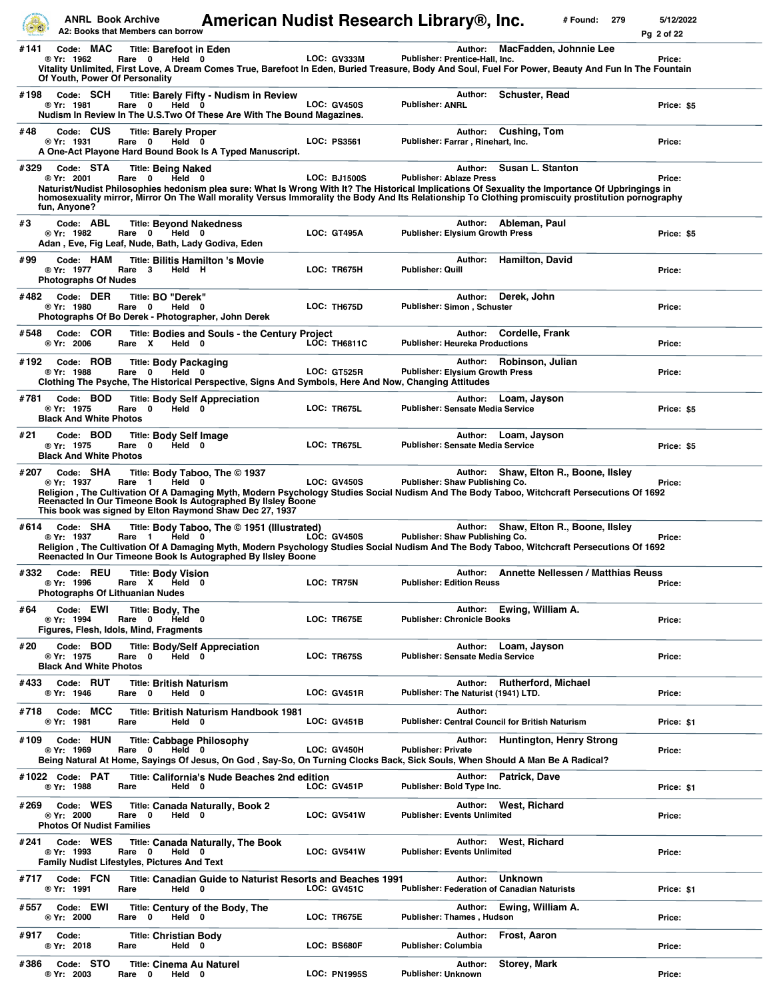|      |                                                             | <b>ANRL Book Archive</b><br>A2: Books that Members can borrow                                            | American Nudist Research Library®, Inc.                                                                                                                                                                                                                                                                           |                     |                                         |         |                                                                      | # Found: | 279 | 5/12/2022<br>Pg 2 of 22 |
|------|-------------------------------------------------------------|----------------------------------------------------------------------------------------------------------|-------------------------------------------------------------------------------------------------------------------------------------------------------------------------------------------------------------------------------------------------------------------------------------------------------------------|---------------------|-----------------------------------------|---------|----------------------------------------------------------------------|----------|-----|-------------------------|
| #141 | Code: MAC<br>® Yr: 1962                                     | <b>Title: Barefoot in Eden</b><br>Rare 0<br>Held 0<br>Of Youth, Power Of Personality                     | Vitality Unlimited, First Love, A Dream Comes True, Barefoot In Eden, Buried Treasure, Body And Soul, Fuel For Power, Beauty And Fun In The Fountain                                                                                                                                                              | LOC: GV333M         | Publisher: Prentice-Hall, Inc.          | Author: | MacFadden, Johnnie Lee                                               |          |     | Price:                  |
| #198 | Code: SCH<br>® Yr: 1981                                     | Rare 0                                                                                                   | <b>Title: Barely Fifty - Nudism in Review</b><br>Held 0<br>Nudism In Review In The U.S.Two Of These Are With The Bound Magazines.                                                                                                                                                                                 | <b>LOC: GV450S</b>  | <b>Publisher: ANRL</b>                  |         | Author: Schuster, Read                                               |          |     | Price: \$5              |
| #48  | Code: CUS<br>® Yr: 1931                                     | <b>Title: Barely Proper</b><br>Rare 0<br>Held 0                                                          | A One-Act Playone Hard Bound Book Is A Typed Manuscript.                                                                                                                                                                                                                                                          | LOC: PS3561         | Publisher: Farrar, Rinehart, Inc.       | Author: | Cushing, Tom                                                         |          |     | Price:                  |
| #329 | Code: STA<br>® Yr: 2001<br>fun, Anyone?                     | <b>Title: Being Naked</b><br>Rare 0                                                                      | Held 0<br>Naturist/Nudist Philosophies hedonism plea sure: What Is Wrong With It? The Historical Implications Of Sexuality the Importance Of Upbringings in<br>homosexuality mirror, Mirror On The Wall morality Versus Immorality the Body And Its Relationship To Clothing promiscuity prostitution pornography | <b>LOC: BJ1500S</b> | <b>Publisher: Ablaze Press</b>          | Author: | Susan L. Stanton                                                     |          |     | Price:                  |
| #3   | Code: ABL<br>® Yr: 1982                                     | <b>Title: Beyond Nakedness</b><br>Rare 0<br>Held 0<br>Adan, Eve, Fig Leaf, Nude, Bath, Lady Godiva, Eden |                                                                                                                                                                                                                                                                                                                   | <b>LOC: GT495A</b>  | <b>Publisher: Elysium Growth Press</b>  |         | Author: Ableman, Paul                                                |          |     | Price: \$5              |
| #99  | Code: HAM<br>® Yr: 1977<br><b>Photographs Of Nudes</b>      | Rare 3                                                                                                   | <b>Title: Bilitis Hamilton 's Movie</b><br>Held H                                                                                                                                                                                                                                                                 | LOC: TR675H         | <b>Publisher: Quill</b>                 | Author: | <b>Hamilton, David</b>                                               |          |     | Price:                  |
| #482 | Code: DER<br>® Yr: 1980                                     | Title: BO "Derek"<br>Rare 0                                                                              | Held 0<br>Photographs Of Bo Derek - Photographer, John Derek                                                                                                                                                                                                                                                      | LOC: TH675D         | Publisher: Simon, Schuster              | Author: | Derek, John                                                          |          |     | Price:                  |
| #548 | Code: COR<br>® Yr: 2006                                     | Rare X                                                                                                   | Title: Bodies and Souls - the Century Project<br>Held 0                                                                                                                                                                                                                                                           | <b>LOC: TH6811C</b> | Publisher: Heureka Productions          | Author: | Cordelle, Frank                                                      |          |     | Price:                  |
| #192 | Code: ROB<br>® Yr: 1988                                     | <b>Title: Body Packaging</b><br>Rare 0                                                                   | Held 0<br>Clothing The Psyche, The Historical Perspective, Signs And Symbols, Here And Now, Changing Attitudes                                                                                                                                                                                                    | <b>LOC: GT525R</b>  | <b>Publisher: Elysium Growth Press</b>  | Author: | Robinson, Julian                                                     |          |     | Price:                  |
| #781 | Code: BOD<br>® Yr: 1975<br><b>Black And White Photos</b>    | Rare 0                                                                                                   | <b>Title: Body Self Appreciation</b><br>Held 0                                                                                                                                                                                                                                                                    | LOC: TR675L         | <b>Publisher: Sensate Media Service</b> | Author: | Loam, Jayson                                                         |          |     | Price: \$5              |
| #21  | Code: BOD<br>® Yr: 1975<br><b>Black And White Photos</b>    | <b>Title: Body Self Image</b><br>Rare 0                                                                  | Held 0                                                                                                                                                                                                                                                                                                            | LOC: TR675L         | <b>Publisher: Sensate Media Service</b> | Author: | Loam, Jayson                                                         |          |     | Price: \$5              |
| #207 | Code: SHA<br>® Yr: 1937                                     | Held<br>Rare 1                                                                                           | Title: Body Taboo, The © 1937<br>0<br>Religion , The Cultivation Of A Damaging Myth, Modern Psychology Studies Social Nudism And The Body Taboo, Witchcraft Persecutions Of 1692<br>Reenacted In Our Timeone Book Is Autographed By Ilsley Boone<br>This book was signed by Elton Raymond Shaw Dec 27, 1937       | <b>LOC: GV450S</b>  | Publisher: Shaw Publishing Co.          |         | Author: Shaw, Elton R., Boone, Ilsley                                |          |     | Price:                  |
| #614 | Code: SHA<br>® Yr: 1937                                     | Rare 1                                                                                                   | Title: Body Taboo, The © 1951 (Illustrated)<br>Held 0<br>Religion, The Cultivation Of A Damaging Myth, Modern Psychology Studies Social Nudism And The Body Taboo, Witchcraft Persecutions Of 1692<br>Reenacted In Our Timeone Book Is Autographed By IIsley Boone                                                | <b>LOC: GV450S</b>  | Publisher: Shaw Publishing Co.          | Author: | Shaw, Elton R., Boone, Ilsley                                        |          |     | Price:                  |
| #332 | Code: REU<br>® Yr: 1996                                     | <b>Title: Body Vision</b><br>Rare X Held 0<br>Photographs Of Lithuanian Nudes                            |                                                                                                                                                                                                                                                                                                                   | LOC: TR75N          | <b>Publisher: Edition Reuss</b>         |         | Author: Annette Nellessen / Matthias Reuss                           |          |     | Price:                  |
| #64  | Code: EWI<br>® Yr: 1994                                     | Title: Body, The<br>Rare 0<br>Held 0<br>Figures, Flesh, Idols, Mind, Fragments                           |                                                                                                                                                                                                                                                                                                                   | LOC: TR675E         | <b>Publisher: Chronicle Books</b>       | Author: | Ewing, William A.                                                    |          |     | Price:                  |
| #20  | Code: BOD<br>® Yr: 1975<br><b>Black And White Photos</b>    | Held 0<br>Rare 0                                                                                         | <b>Title: Body/Self Appreciation</b>                                                                                                                                                                                                                                                                              | <b>LOC: TR675S</b>  | <b>Publisher: Sensate Media Service</b> |         | Author: Loam, Jayson                                                 |          |     | Price:                  |
| #433 | Code: RUT<br>® Yr: 1946                                     | <b>Title: British Naturism</b><br>Rare<br>$\mathbf 0$                                                    | Held 0                                                                                                                                                                                                                                                                                                            | <b>LOC: GV451R</b>  | Publisher: The Naturist (1941) LTD.     |         | Author: Rutherford, Michael                                          |          |     | Price:                  |
| #718 | Code: MCC<br>® Yr: 1981                                     | Rare                                                                                                     | Title: British Naturism Handbook 1981<br>Held 0                                                                                                                                                                                                                                                                   | <b>LOC: GV451B</b>  |                                         | Author: | <b>Publisher: Central Council for British Naturism</b>               |          |     | Price: \$1              |
|      | #109 Code: HUN<br>® Yr: 1969                                | Rare 0                                                                                                   | <b>Title: Cabbage Philosophy</b><br>Held 0<br>Being Natural At Home, Sayings Of Jesus, On God , Say-So, On Turning Clocks Back, Sick Souls, When Should A Man Be A Radical?                                                                                                                                       | LOC: GV450H         | <b>Publisher: Private</b>               |         | Author: Huntington, Henry Strong                                     |          |     | Price:                  |
|      | #1022 Code: PAT<br>® Yr: 1988                               | Rare                                                                                                     | Title: California's Nude Beaches 2nd edition<br>Held 0                                                                                                                                                                                                                                                            | <b>LOC: GV451P</b>  | Publisher: Bold Type Inc.               | Author: | Patrick, Dave                                                        |          |     | Price: \$1              |
| #269 | Code: WES<br>® Yr: 2000<br><b>Photos Of Nudist Families</b> | Rare 0                                                                                                   | Title: Canada Naturally, Book 2<br>Held 0                                                                                                                                                                                                                                                                         | <b>LOC: GV541W</b>  | <b>Publisher: Events Unlimited</b>      |         | Author: West, Richard                                                |          |     | Price:                  |
| #241 | Code: WES<br>® Yr: 1993                                     | Rare 0<br>Family Nudist Lifestyles, Pictures And Text                                                    | <b>Title: Canada Naturally, The Book</b><br>Held 0                                                                                                                                                                                                                                                                | <b>LOC: GV541W</b>  | <b>Publisher: Events Unlimited</b>      |         | Author: West, Richard                                                |          |     | Price:                  |
| #717 | Code: FCN<br>® Yr: 1991                                     | Rare                                                                                                     | Title: Canadian Guide to Naturist Resorts and Beaches 1991<br>Held 0                                                                                                                                                                                                                                              | <b>LOC: GV451C</b>  |                                         | Author: | <b>Unknown</b><br><b>Publisher: Federation of Canadian Naturists</b> |          |     | Price: \$1              |
| #557 | Code: EWI<br>@Yr: 2000                                      | Rare 0                                                                                                   | Title: Century of the Body, The<br>Held 0                                                                                                                                                                                                                                                                         | LOC: TR675E         | Publisher: Thames, Hudson               | Author: | Ewing, William A.                                                    |          |     | Price:                  |
| #917 | Code:<br>® Yr: 2018                                         | <b>Title: Christian Body</b><br>Rare                                                                     | Held 0                                                                                                                                                                                                                                                                                                            | LOC: BS680F         | Publisher: Columbia                     | Author: | Frost, Aaron                                                         |          |     | Price:                  |
| #386 | Code: STO<br>® Yr: 2003                                     | <b>Title: Cinema Au Naturel</b><br>Rare 0                                                                | Held 0                                                                                                                                                                                                                                                                                                            | <b>LOC: PN1995S</b> | Publisher: Unknown                      | Author: | <b>Storey, Mark</b>                                                  |          |     | Price:                  |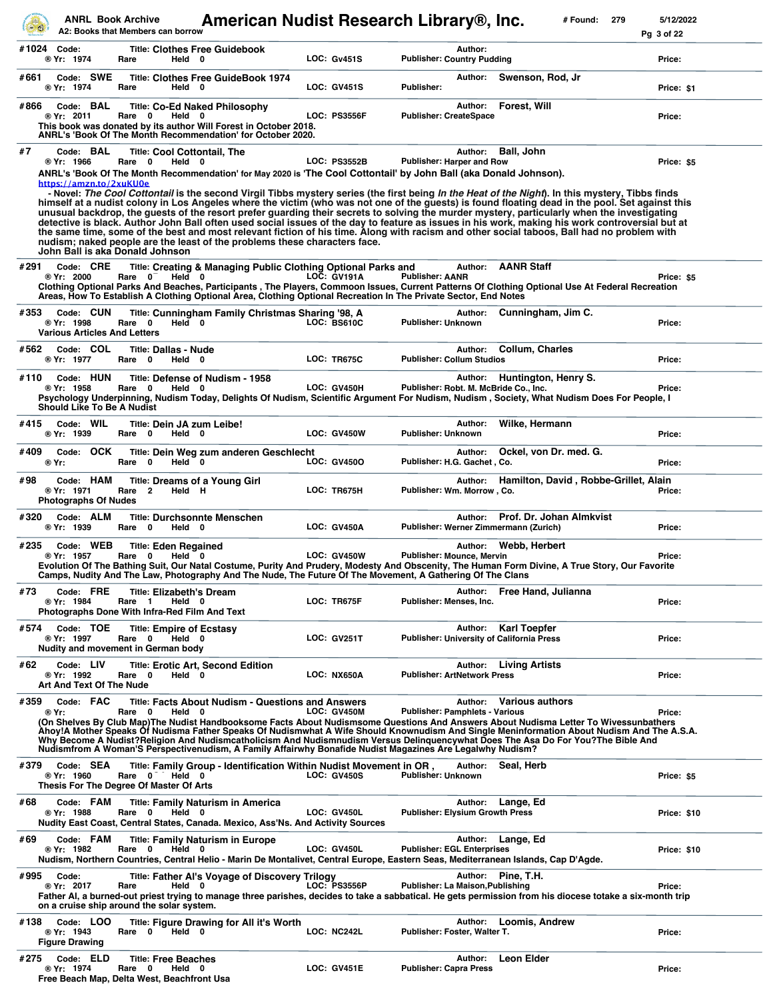|      |                                           |           | <b>ANRL Book Archive</b><br>A2: Books that Members can borrow                      |        |                                                                                                                                                                         |  | American Nudist Research Library®, Inc.                                                                                                                                                                                                                                                                                                                                                                                                                                                                                                                                                                                                                                                                                                            |                                        |         |                                                                   | # Found: | 279 | 5/12/2022<br>Pg 3 of 22 |
|------|-------------------------------------------|-----------|------------------------------------------------------------------------------------|--------|-------------------------------------------------------------------------------------------------------------------------------------------------------------------------|--|----------------------------------------------------------------------------------------------------------------------------------------------------------------------------------------------------------------------------------------------------------------------------------------------------------------------------------------------------------------------------------------------------------------------------------------------------------------------------------------------------------------------------------------------------------------------------------------------------------------------------------------------------------------------------------------------------------------------------------------------------|----------------------------------------|---------|-------------------------------------------------------------------|----------|-----|-------------------------|
|      | #1024 Code:<br>® Yr: 1974                 |           | Rare                                                                               | Held 0 | <b>Title: Clothes Free Guidebook</b>                                                                                                                                    |  | <b>LOC: Gv451S</b>                                                                                                                                                                                                                                                                                                                                                                                                                                                                                                                                                                                                                                                                                                                                 | <b>Publisher: Country Pudding</b>      | Author: |                                                                   |          |     | Price:                  |
| #661 | ® Yr: 1974                                | Code: SWE | Rare                                                                               | Held 0 | <b>Title: Clothes Free GuideBook 1974</b>                                                                                                                               |  | <b>LOC: GV451S</b>                                                                                                                                                                                                                                                                                                                                                                                                                                                                                                                                                                                                                                                                                                                                 | Publisher:                             | Author: | Swenson, Rod, Jr                                                  |          |     | Price: \$1              |
| #866 | ® Yr: 2011                                | Code: BAL | Rare<br>0                                                                          | Held 0 | <b>Title: Co-Ed Naked Philosophy</b><br>This book was donated by its author Will Forest in October 2018.<br>ANRL's 'Book Of The Month Recommendation' for October 2020. |  | <b>LOC: PS3556F</b>                                                                                                                                                                                                                                                                                                                                                                                                                                                                                                                                                                                                                                                                                                                                | <b>Publisher: CreateSpace</b>          | Author: | Forest, Will                                                      |          |     | Price:                  |
| #7   | ® Yr: 1966                                | Code: BAL | Rare 0<br>https://amzn.to/2xuKU0e                                                  | Held 0 | <b>Title: Cool Cottontail, The</b>                                                                                                                                      |  | <b>LOC: PS3552B</b><br>ANRL's 'Book Of The Month Recommendation' for May 2020 is 'The Cool Cottontail' by John Ball (aka Donald Johnson).                                                                                                                                                                                                                                                                                                                                                                                                                                                                                                                                                                                                          | <b>Publisher: Harper and Row</b>       | Author: | <b>Ball, John</b>                                                 |          |     | Price: \$5              |
|      |                                           |           | John Ball is aka Donald Johnson                                                    |        | nudism; naked people are the least of the problems these characters face.                                                                                               |  | - Novel: The Cool Cottontail is the second Virgil Tibbs mystery series (the first being In the Heat of the Night). In this mystery, Tibbs finds<br>himself at a nudist colony in Los Angeles where the victim (who was not one of the guests) is found floating dead in the pool. Set against this<br>unusual backdrop, the guests of the resort prefer guarding their secrets to solving the murder mystery, particularly when the investigating<br>detective is black. Author John Ball often used social issues of the day to feature as issues in his work, making his work controversial but at<br>the same time, some of the best and most relevant fiction of his time. Along with racism and other social taboos, Ball had no problem with |                                        |         |                                                                   |          |     |                         |
| #291 | ® Yr: 2000                                | Code: CRE | Rare $0^-$                                                                         | Held 0 |                                                                                                                                                                         |  | Title: Creating & Managing Public Clothing Optional Parks and<br><b>LOC: GV191A</b>                                                                                                                                                                                                                                                                                                                                                                                                                                                                                                                                                                                                                                                                | <b>Publisher: AANR</b>                 |         | Author: <b>AANR Staff</b>                                         |          |     | Price: \$5              |
|      |                                           |           |                                                                                    |        |                                                                                                                                                                         |  | Clothing Optional Parks And Beaches, Participants, The Players, Commoon Issues, Current Patterns Of Clothing Optional Use At Federal Recreation<br>Areas, How To Establish A Clothing Optional Area, Clothing Optional Recreation In The Private Sector, End Notes                                                                                                                                                                                                                                                                                                                                                                                                                                                                                 |                                        |         |                                                                   |          |     |                         |
| #353 | ® Yr: 1998                                | Code: CUN | Rare 0<br><b>Various Articles And Letters</b>                                      | Held 0 | Title: Cunningham Family Christmas Sharing '98, A                                                                                                                       |  | LOC: BS610C                                                                                                                                                                                                                                                                                                                                                                                                                                                                                                                                                                                                                                                                                                                                        | Publisher: Unknown                     | Author: | Cunningham, Jim C.                                                |          |     | Price:                  |
| #562 | ® Yr: 1977                                | Code: COL | <b>Title: Dallas - Nude</b><br>Rare 0                                              | Held 0 |                                                                                                                                                                         |  | LOC: TR675C                                                                                                                                                                                                                                                                                                                                                                                                                                                                                                                                                                                                                                                                                                                                        | <b>Publisher: Collum Studios</b>       | Author: | <b>Collum, Charles</b>                                            |          |     | Price:                  |
| #110 | ® Yr: 1958                                | Code: HUN | Rare 0<br><b>Should Like To Be A Nudist</b>                                        | Held 0 | Title: Defense of Nudism - 1958                                                                                                                                         |  | LOC: GV450H<br>Psychology Underpinning, Nudism Today, Delights Of Nudism, Scientific Argument For Nudism, Nudism, Society, What Nudism Does For People, I                                                                                                                                                                                                                                                                                                                                                                                                                                                                                                                                                                                          |                                        | Author: | Huntington, Henry S.<br>Publisher: Robt. M. McBride Co., Inc.     |          |     | Price:                  |
| #415 | ® Yr: 1939                                | Code: WIL | Rare 0                                                                             | Held 0 | Title: Dein JA zum Leibe!                                                                                                                                               |  | LOC: GV450W                                                                                                                                                                                                                                                                                                                                                                                                                                                                                                                                                                                                                                                                                                                                        | Publisher: Unknown                     | Author: | Wilke, Hermann                                                    |          |     | Price:                  |
| #409 | ® Yr:                                     | Code: OCK | Rare 0                                                                             | Held 0 | Title: Dein Weg zum anderen Geschlecht                                                                                                                                  |  | <b>LOC: GV4500</b>                                                                                                                                                                                                                                                                                                                                                                                                                                                                                                                                                                                                                                                                                                                                 | Publisher: H.G. Gachet, Co.            | Author: | Ockel, von Dr. med. G.                                            |          |     | Price:                  |
| #98  | ® Yr: 1971<br><b>Photographs Of Nudes</b> | Code: HAM | Rare 2                                                                             | Held H | Title: Dreams of a Young Girl                                                                                                                                           |  | LOC: TR675H                                                                                                                                                                                                                                                                                                                                                                                                                                                                                                                                                                                                                                                                                                                                        | Publisher: Wm. Morrow, Co.             | Author: | Hamilton, David, Robbe-Grillet, Alain                             |          |     | Price:                  |
| #320 | ® Yr: 1939                                | Code: ALM | Rare 0                                                                             | Held 0 | <b>Title: Durchsonnte Menschen</b>                                                                                                                                      |  | <b>LOC: GV450A</b>                                                                                                                                                                                                                                                                                                                                                                                                                                                                                                                                                                                                                                                                                                                                 |                                        | Author: | Prof. Dr. Johan Almkvist<br>Publisher: Werner Zimmermann (Zurich) |          |     | Price:                  |
| #235 | ® Yr: 1957                                | Code: WEB | <b>Title: Eden Regained</b><br>Rare<br>0                                           | Held 0 |                                                                                                                                                                         |  | LOC: GV450W<br>Evolution Of The Bathing Suit, Our Natal Costume, Purity And Prudery, Modesty And Obscenity, The Human Form Divine, A True Story, Our Favorite<br>Camps, Nudity And The Law, Photography And The Nude, The Future Of The Movement, A Gathering Of The Clans                                                                                                                                                                                                                                                                                                                                                                                                                                                                         | Publisher: Mounce, Mervin              | Author: | Webb, Herbert                                                     |          |     | Price:                  |
| #73  | ® Yr: 1984                                | Code: FRE | $\mathbf{1}$<br>Rare                                                               | Held 0 | <b>Title: Elizabeth's Dream</b><br>Photographs Done With Infra-Red Film And Text                                                                                        |  | LOC: TR675F                                                                                                                                                                                                                                                                                                                                                                                                                                                                                                                                                                                                                                                                                                                                        | Publisher: Menses, Inc.                | Author: | Free Hand, Julianna                                               |          |     | Price:                  |
| #574 | ® Yr: 1997                                | Code: TOE | Rare 0<br>Nudity and movement in German body                                       | Held 0 | <b>Title: Empire of Ecstasy</b>                                                                                                                                         |  | <b>LOC: GV251T</b>                                                                                                                                                                                                                                                                                                                                                                                                                                                                                                                                                                                                                                                                                                                                 |                                        | Author: | Karl Toepfer<br>Publisher: University of California Press         |          |     | Price:                  |
| #62  | ® Yr: 1992                                | Code: LIV | Rare<br>0<br>Art And Text Of The Nude                                              | Held 0 | <b>Title: Erotic Art, Second Edition</b>                                                                                                                                |  | LOC: NX650A                                                                                                                                                                                                                                                                                                                                                                                                                                                                                                                                                                                                                                                                                                                                        | <b>Publisher: ArtNetwork Press</b>     | Author: | <b>Living Artists</b>                                             |          |     | Price:                  |
| #359 | ® Yr:                                     | Code: FAC | Rare 0                                                                             | Held 0 | <b>Title: Facts About Nudism - Questions and Answers</b>                                                                                                                |  | <b>LOC: GV450M</b>                                                                                                                                                                                                                                                                                                                                                                                                                                                                                                                                                                                                                                                                                                                                 | <b>Publisher: Pamphlets - Various</b>  | Author: | <b>Various authors</b>                                            |          |     | Price:                  |
|      |                                           |           |                                                                                    |        |                                                                                                                                                                         |  | (On Shelves By Club Map)The Nudist Handbooksome Facts About Nudismsome Questions And Answers About Nudisma Letter To Wivessunbathers<br>Ahoy!A Mother Speaks Of Nudisma Father Speaks Of Nudismwhat A Wife Should Knownudism And Single Meninformation About Nudism And The A.S.A.<br>Why Become A Nudist?Religion And Nudismcatholicism And Nudismnudism Versus Delinquencywhat Does The Asa Do For You?The Bible And<br>Nudismfrom A Woman'S Perspectivenudism, A Family Affairwhy Bonafide Nudist Magazines Are Legalwhy Nudism?                                                                                                                                                                                                                |                                        |         |                                                                   |          |     |                         |
| #379 | ® Yr: 1960                                | Code: SEA | Rare<br>$\mathbf 0$<br>Thesis For The Degree Of Master Of Arts                     | Held 0 |                                                                                                                                                                         |  | Title: Family Group - Identification Within Nudist Movement in OR,<br><b>LOC: GV450S</b>                                                                                                                                                                                                                                                                                                                                                                                                                                                                                                                                                                                                                                                           | <b>Publisher: Unknown</b>              | Author: | Seal, Herb                                                        |          |     | Price: \$5              |
| #68  | ® Yr: 1988                                | Code: FAM | Rare 0                                                                             | Held 0 | <b>Title: Family Naturism in America</b><br>Nudity East Coast, Central States, Canada. Mexico, Ass'Ns. And Activity Sources                                             |  | LOC: GV450L                                                                                                                                                                                                                                                                                                                                                                                                                                                                                                                                                                                                                                                                                                                                        | <b>Publisher: Elysium Growth Press</b> |         | Author: Lange, Ed                                                 |          |     | <b>Price: \$10</b>      |
| #69  | ® Yr: 1982                                | Code: FAM | Rare<br>0                                                                          | Held 0 | <b>Title: Family Naturism in Europe</b>                                                                                                                                 |  | LOC: GV450L<br>Nudism, Northern Countries, Central Helio - Marin De Montalivet, Central Europe, Eastern Seas, Mediterranean Islands, Cap D'Agde.                                                                                                                                                                                                                                                                                                                                                                                                                                                                                                                                                                                                   | <b>Publisher: EGL Enterprises</b>      | Author: | Lange, Ed                                                         |          |     | <b>Price: \$10</b>      |
| #995 | Code:<br>® Yr: 2017                       |           | Rare<br>on a cruise ship around the solar system.                                  | Held 0 | Title: Father Al's Voyage of Discovery Trilogy                                                                                                                          |  | <b>LOC: PS3556P</b><br>Father AI, a burned-out priest trying to manage three parishes, decides to take a sabbatical. He gets permission from his diocese totake a six-month trip                                                                                                                                                                                                                                                                                                                                                                                                                                                                                                                                                                   | Publisher: La Maison, Publishing       |         | Author: Pine, T.H.                                                |          |     | Price:                  |
| #138 | ® Yr: 1943<br><b>Figure Drawing</b>       | Code: LOO | Rare 0                                                                             | Held 0 | Title: Figure Drawing for All it's Worth                                                                                                                                |  | LOC: NC242L                                                                                                                                                                                                                                                                                                                                                                                                                                                                                                                                                                                                                                                                                                                                        | Publisher: Foster, Walter T.           | Author: | Loomis, Andrew                                                    |          |     | Price:                  |
| #275 | ® Yr: 1974                                | Code: ELD | <b>Title: Free Beaches</b><br>Rare 0<br>Free Beach Map, Delta West, Beachfront Usa | Held 0 |                                                                                                                                                                         |  | <b>LOC: GV451E</b>                                                                                                                                                                                                                                                                                                                                                                                                                                                                                                                                                                                                                                                                                                                                 | <b>Publisher: Capra Press</b>          | Author: | Leon Elder                                                        |          |     | Price:                  |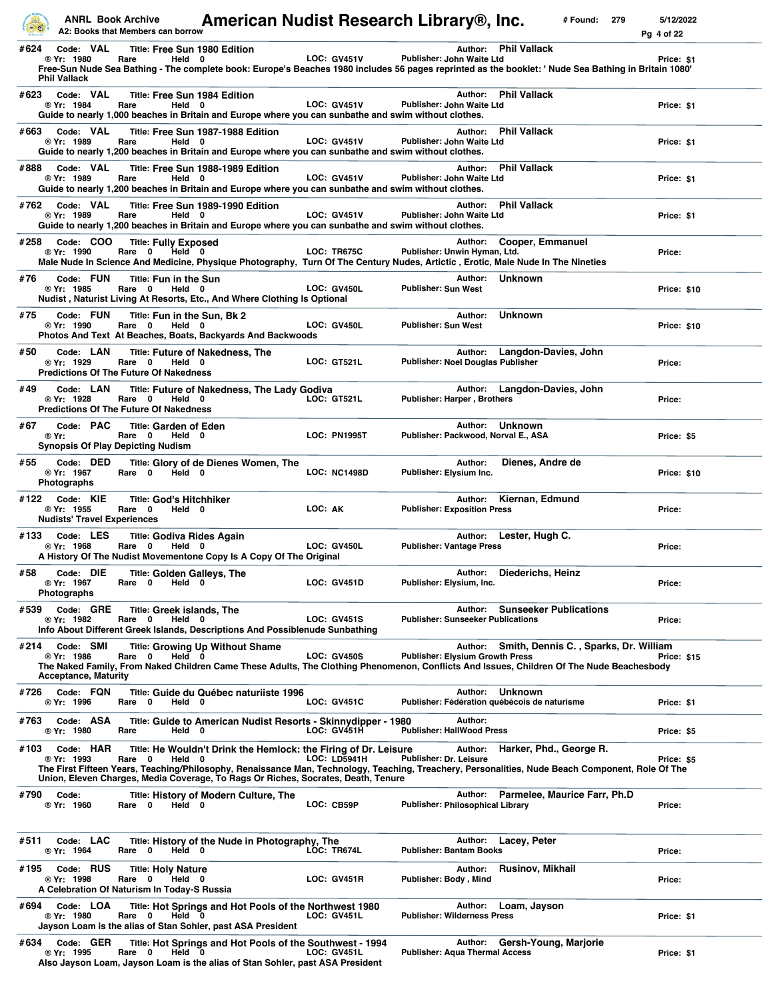|      |                                                               | <b>ANRL Book Archive</b><br>A2: Books that Members can borrow                                | American Nudist Research Library®, Inc.                                                                                                                                                                                                                                                                  |                     |                                              |         |                                               | # Found: | 279 | 5/12/2022<br>Pg 4 of 22 |  |
|------|---------------------------------------------------------------|----------------------------------------------------------------------------------------------|----------------------------------------------------------------------------------------------------------------------------------------------------------------------------------------------------------------------------------------------------------------------------------------------------------|---------------------|----------------------------------------------|---------|-----------------------------------------------|----------|-----|-------------------------|--|
| #624 | Code: VAL<br>® Yr: 1980<br><b>Phil Vallack</b>                | <b>Title: Free Sun 1980 Edition</b><br>Held 0<br>Rare                                        | Free-Sun Nude Sea Bathing - The complete book: Europe's Beaches 1980 includes 56 pages reprinted as the booklet: 'Nude Sea Bathing in Britain 1080'                                                                                                                                                      | <b>LOC: GV451V</b>  | <b>Publisher: John Waite Ltd</b>             |         | Author: Phil Vallack                          |          |     | Price: \$1              |  |
| #623 | Code: VAL<br>® Yr: 1984                                       | <b>Title: Free Sun 1984 Edition</b><br>Held 0<br>Rare                                        | Guide to nearly 1,000 beaches in Britain and Europe where you can sunbathe and swim without clothes.                                                                                                                                                                                                     | <b>LOC: GV451V</b>  | Publisher: John Waite Ltd                    | Author: | <b>Phil Vallack</b>                           |          |     | Price: \$1              |  |
| #663 | Code: VAL<br>® Yr: 1989                                       | Rare<br>Held 0                                                                               | Title: Free Sun 1987-1988 Edition<br>Guide to nearly 1,200 beaches in Britain and Europe where you can sunbathe and swim without clothes.                                                                                                                                                                | <b>LOC: GV451V</b>  | Publisher: John Waite Ltd                    | Author: | <b>Phil Vallack</b>                           |          |     | Price: \$1              |  |
| #888 | Code: VAL<br>® Yr: 1989                                       | Rare<br>Held 0                                                                               | Title: Free Sun 1988-1989 Edition<br>Guide to nearly 1,200 beaches in Britain and Europe where you can sunbathe and swim without clothes.                                                                                                                                                                | <b>LOC: GV451V</b>  | Publisher: John Waite Ltd                    | Author: | <b>Phil Vallack</b>                           |          |     | Price: \$1              |  |
|      | #762 Code: VAL<br>® Yr: 1989                                  | Rare<br>Held 0                                                                               | Title: Free Sun 1989-1990 Edition<br>Guide to nearly 1,200 beaches in Britain and Europe where you can sunbathe and swim without clothes.                                                                                                                                                                | <b>LOC: GV451V</b>  | Publisher: John Waite Ltd                    | Author: | <b>Phil Vallack</b>                           |          |     | Price: \$1              |  |
| #258 | Code: COO<br>® Yr: 1990                                       | <b>Title: Fully Exposed</b><br>Rare 0<br>Held 0                                              | Male Nude In Science And Medicine, Physique Photography, Turn Of The Century Nudes, Artictic, Erotic, Male Nude In The Nineties                                                                                                                                                                          | LOC: TR675C         | Publisher: Unwin Hyman, Ltd.                 | Author: | Cooper, Emmanuel                              |          |     | Price:                  |  |
| #76  | Code: FUN<br>® Yr: 1985                                       | Title: Fun in the Sun<br>Rare 0<br>Held 0                                                    | Nudist, Naturist Living At Resorts, Etc., And Where Clothing Is Optional                                                                                                                                                                                                                                 | LOC: GV450L         | <b>Publisher: Sun West</b>                   |         | Author: Unknown                               |          |     | <b>Price: \$10</b>      |  |
| #75  | Code: FUN<br>® Yr: 1990                                       | Title: Fun in the Sun, Bk 2<br>Rare 0<br>Held 0                                              | Photos And Text At Beaches, Boats, Backyards And Backwoods                                                                                                                                                                                                                                               | LOC: GV450L         | Publisher: Sun West                          | Author: | <b>Unknown</b>                                |          |     | Price: \$10             |  |
| #50  | Code: LAN<br>® Yr: 1929                                       | Rare 0<br>Held 0<br><b>Predictions Of The Future Of Nakedness</b>                            | <b>Title: Future of Nakedness, The</b>                                                                                                                                                                                                                                                                   | LOC: GT521L         | Publisher: Noel Douglas Publisher            | Author: | Langdon-Davies, John                          |          |     | Price:                  |  |
| #49  | Code: LAN<br>® Yr: 1928                                       | Rare 0<br>Held 0<br><b>Predictions Of The Future Of Nakedness</b>                            | Title: Future of Nakedness, The Lady Godiva                                                                                                                                                                                                                                                              | <b>LOC: GT521L</b>  | Publisher: Harper, Brothers                  |         | Author: Langdon-Davies, John                  |          |     | Price:                  |  |
| #67  | Code: PAC<br>® Yr:                                            | Title: Garden of Eden<br>Rare 0<br>Held 0<br><b>Synopsis Of Play Depicting Nudism</b>        |                                                                                                                                                                                                                                                                                                          | <b>LOC: PN1995T</b> | Publisher: Packwood, Norval E., ASA          | Author: | <b>Unknown</b>                                |          |     | Price: \$5              |  |
| #55  | Code: DED<br>® Yr: 1967<br><b>Photographs</b>                 | Rare 0<br>Held 0                                                                             | Title: Glory of de Dienes Women, The                                                                                                                                                                                                                                                                     | LOC: NC1498D        | Publisher: Elysium Inc.                      | Author: | Dienes, Andre de                              |          |     | Price: \$10             |  |
| #122 | Code: KIE<br>® Yr: 1955<br><b>Nudists' Travel Experiences</b> | <b>Title: God's Hitchhiker</b><br>Rare 0<br>Held 0                                           |                                                                                                                                                                                                                                                                                                          | LOC: AK             | <b>Publisher: Exposition Press</b>           | Author: | Kiernan, Edmund                               |          |     | Price:                  |  |
|      | $#133$ Code: LES<br>® Yr: 1968                                | Title: Godiva Rides Again<br>Rare 0<br>Held 0                                                | A History Of The Nudist Movementone Copy Is A Copy Of The Original                                                                                                                                                                                                                                       | LOC: GV450L         | <b>Publisher: Vantage Press</b>              |         | Author: Lester, Hugh C.                       |          |     | Price:                  |  |
| #58  | Code: DIE<br>® Yr: 1967<br>Photographs                        | <b>Title: Golden Galleys, The</b><br>Rare 0<br>Held 0                                        |                                                                                                                                                                                                                                                                                                          | LOC: GV451D         | Publisher: Elysium, Inc.                     |         | Author: Diederichs, Heinz                     |          |     | Price:                  |  |
| #539 | Code: GRE<br>® Yr: 1982                                       | Title: Greek islands, The<br>Rare 0<br>Held 0                                                | Info About Different Greek Islands, Descriptions And Possiblenude Sunbathing                                                                                                                                                                                                                             | <b>LOC: GV451S</b>  | <b>Publisher: Sunseeker Publications</b>     |         | Author: Sunseeker Publications                |          |     | Price:                  |  |
| #214 | Code: SMI<br>® Yr: 1986<br><b>Acceptance, Maturity</b>        | $\mathbf 0$<br>Held 0<br>Rare                                                                | <b>Title: Growing Up Without Shame</b><br>The Naked Family, From Naked Children Came These Adults, The Clothing Phenomenon, Conflicts And Issues, Children Of The Nude Beachesbody                                                                                                                       | <b>LOC: GV450S</b>  | <b>Publisher: Elysium Growth Press</b>       |         | Author: Smith, Dennis C., Sparks, Dr. William |          |     | <b>Price: \$15</b>      |  |
| #726 | Code: FQN<br>® Yr: 1996                                       | Rare 0<br>Held 0                                                                             | Title: Guide du Québec naturiiste 1996                                                                                                                                                                                                                                                                   | <b>LOC: GV451C</b>  | Publisher: Fédération québécois de naturisme | Author: | <b>Unknown</b>                                |          |     | Price: \$1              |  |
| #763 | Code: ASA<br>® Yr: 1980                                       | Rare<br>Held 0                                                                               | Title: Guide to American Nudist Resorts - Skinnydipper - 1980                                                                                                                                                                                                                                            | <b>LOC: GV451H</b>  | <b>Publisher: HallWood Press</b>             | Author: |                                               |          |     | Price: \$5              |  |
| #103 | Code: HAR<br>® Yr: 1993                                       | Rare 0<br>Held 0                                                                             | Title: He Wouldn't Drink the Hemlock: the Firing of Dr. Leisure<br>The First Fifteen Years, Teaching/Philosophy, Renaissance Man, Technology, Teaching, Treachery, Personalities, Nude Beach Component, Role Of The<br>Union, Eleven Charges, Media Coverage, To Rags Or Riches, Socrates, Death, Tenure | LOC: LD5941H        | Publisher: Dr. Leisure                       | Author: | Harker, Phd., George R.                       |          |     | Price: \$5              |  |
| #790 | Code:<br>® Yr: 1960                                           | Held 0<br>Rare 0                                                                             | Title: History of Modern Culture, The                                                                                                                                                                                                                                                                    | LOC: CB59P          | Publisher: Philosophical Library             | Author: | Parmelee, Maurice Farr, Ph.D                  |          |     | Price:                  |  |
| #511 | Code: LAC<br>® Yr: 1964                                       | $\mathbf 0$<br>Rare<br>Held 0                                                                | Title: History of the Nude in Photography, The                                                                                                                                                                                                                                                           | LOC: TR674L         | <b>Publisher: Bantam Books</b>               | Author: | Lacey, Peter                                  |          |     | Price:                  |  |
| #195 | Code: RUS<br>® Yr: 1998                                       | <b>Title: Holy Nature</b><br>Held 0<br>Rare 0<br>A Celebration Of Naturism In Today-S Russia |                                                                                                                                                                                                                                                                                                          | LOC: GV451R         | Publisher: Body, Mind                        | Author: | Rusinov, Mikhail                              |          |     | Price:                  |  |
| #694 | Code: LOA<br>® Yr: 1980                                       | Rare 0<br>Held 0                                                                             | Title: Hot Springs and Hot Pools of the Northwest 1980<br>Jayson Loam is the alias of Stan Sohler, past ASA President                                                                                                                                                                                    | LOC: GV451L         | <b>Publisher: Wilderness Press</b>           | Author: | Loam, Jayson                                  |          |     | Price: \$1              |  |
| #634 | Code: GER<br>® Yr: 1995                                       | Held 0<br>Rare 0                                                                             | Title: Hot Springs and Hot Pools of the Southwest - 1994<br>Also Jayson Loam, Jayson Loam is the alias of Stan Sohler, past ASA President                                                                                                                                                                | <b>LOC: GV451L</b>  | <b>Publisher: Aqua Thermal Access</b>        |         | Author: Gersh-Young, Marjorie                 |          |     | Price: \$1              |  |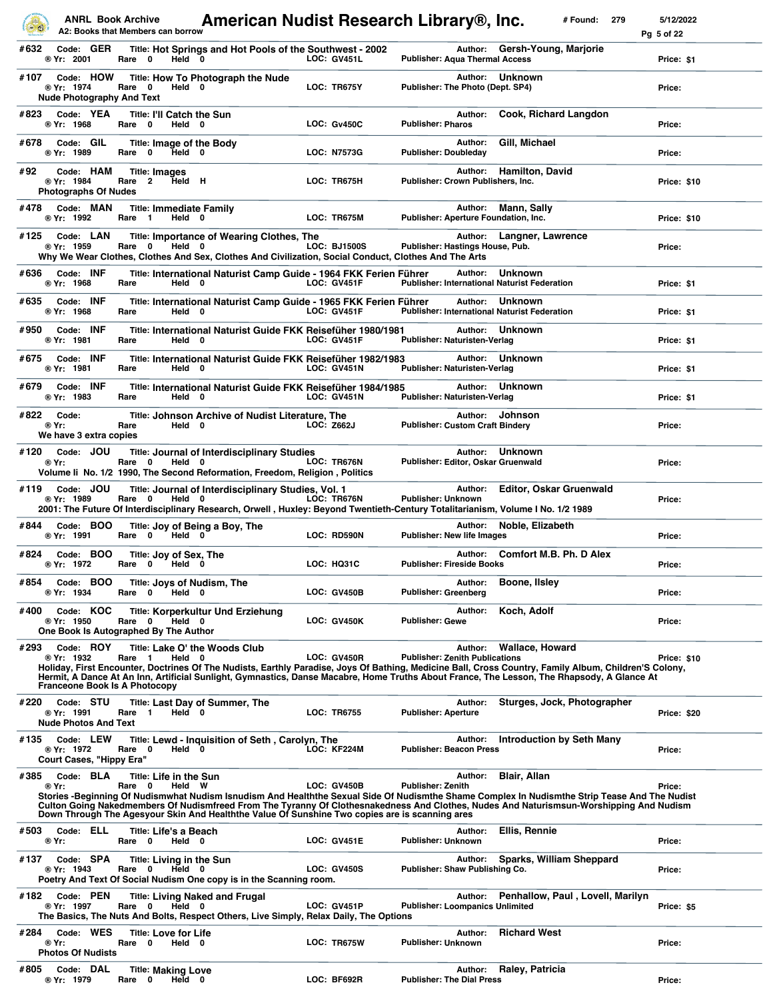|      |                                                        |           | <b>ANRL Book Archive</b><br>A2: Books that Members can borrow |        | American Nudist Research Library®, Inc.                                                                                                                                                                                                                                                                                                                                                    |            |                     |                                        |         |                                                                       | # Found: | 279 | 5/12/2022<br>Pq 5 of 22 |
|------|--------------------------------------------------------|-----------|---------------------------------------------------------------|--------|--------------------------------------------------------------------------------------------------------------------------------------------------------------------------------------------------------------------------------------------------------------------------------------------------------------------------------------------------------------------------------------------|------------|---------------------|----------------------------------------|---------|-----------------------------------------------------------------------|----------|-----|-------------------------|
| #632 | Code: GER<br>® Yr: 2001                                |           | Rare 0                                                        | Held 0 | Title: Hot Springs and Hot Pools of the Southwest - 2002                                                                                                                                                                                                                                                                                                                                   |            | <b>LOC: GV451L</b>  | <b>Publisher: Aqua Thermal Access</b>  | Author: | Gersh-Young, Marjorie                                                 |          |     | Price: \$1              |
| #107 | ® Yr: 1974                                             | Code: HOW | Rare 0<br><b>Nude Photography And Text</b>                    | Held 0 | Title: How To Photograph the Nude                                                                                                                                                                                                                                                                                                                                                          |            | LOC: TR675Y         | Publisher: The Photo (Dept. SP4)       | Author: | <b>Unknown</b>                                                        |          |     | Price:                  |
| #823 | Code: YEA<br>® Yr: 1968                                |           | Rare 0                                                        | Held 0 | <b>Title: I'll Catch the Sun</b>                                                                                                                                                                                                                                                                                                                                                           |            | <b>LOC: Gv450C</b>  | <b>Publisher: Pharos</b>               | Author: | Cook, Richard Langdon                                                 |          |     | Price:                  |
| #678 | Code: GIL<br>® Yr: 1989                                |           | Rare 0                                                        | Held 0 | Title: Image of the Body                                                                                                                                                                                                                                                                                                                                                                   |            | <b>LOC: N7573G</b>  | <b>Publisher: Doubleday</b>            | Author: | Gill, Michael                                                         |          |     | Price:                  |
| #92  | Code: HAM<br>® Yr: 1984<br><b>Photographs Of Nudes</b> |           | <b>Title: Images</b><br>$\overline{2}$<br>Rare                | Held H |                                                                                                                                                                                                                                                                                                                                                                                            |            | LOC: TR675H         | Publisher: Crown Publishers, Inc.      | Author: | <b>Hamilton, David</b>                                                |          |     | Price: \$10             |
| #478 | Code: MAN<br>® Yr: 1992                                |           | Rare <sub>1</sub>                                             | Held 0 | <b>Title: Immediate Family</b>                                                                                                                                                                                                                                                                                                                                                             |            | LOC: TR675M         |                                        | Author: | Mann, Sally<br>Publisher: Aperture Foundation, Inc.                   |          |     | Price: \$10             |
| #125 | Code: LAN<br>® Yr: 1959                                |           | Rare 0                                                        | Held 0 | <b>Title: Importance of Wearing Clothes, The</b><br>Why We Wear Clothes, Clothes And Sex, Clothes And Civilization, Social Conduct, Clothes And The Arts                                                                                                                                                                                                                                   |            | <b>LOC: BJ1500S</b> | Publisher: Hastings House, Pub.        | Author: | Langner, Lawrence                                                     |          |     | Price:                  |
| #636 | Code: INF<br>® Yr: 1968                                |           | Rare                                                          | Held 0 | Title: International Naturist Camp Guide - 1964 FKK Ferien Führer                                                                                                                                                                                                                                                                                                                          |            | <b>LOC: GV451F</b>  |                                        | Author: | <b>Unknown</b><br><b>Publisher: International Naturist Federation</b> |          |     | Price: \$1              |
| #635 | Code: INF<br>® Yr: 1968                                |           | Rare                                                          | Held 0 | Title: International Naturist Camp Guide - 1965 FKK Ferien Führer                                                                                                                                                                                                                                                                                                                          |            | <b>LOC: GV451F</b>  |                                        | Author: | Unknown<br><b>Publisher: International Naturist Federation</b>        |          |     | Price: \$1              |
| #950 | Code: INF<br>® Yr: 1981                                |           | Rare                                                          | Held 0 | Title: International Naturist Guide FKK Reisefüher 1980/1981                                                                                                                                                                                                                                                                                                                               |            | LOC: GV451F         | Publisher: Naturisten-Verlag           | Author: | <b>Unknown</b>                                                        |          |     | Price: \$1              |
| #675 | Code: INF<br>® Yr: 1981                                |           | Rare                                                          | Held 0 | Title: International Naturist Guide FKK Reisefüher 1982/1983                                                                                                                                                                                                                                                                                                                               |            | <b>LOC: GV451N</b>  | Publisher: Naturisten-Verlag           | Author: | <b>Unknown</b>                                                        |          |     | Price: \$1              |
| #679 | Code: INF<br>® Yr: 1983                                |           | Rare                                                          | Held 0 | Title: International Naturist Guide FKK Reisefüher 1984/1985                                                                                                                                                                                                                                                                                                                               |            | <b>LOC: GV451N</b>  | Publisher: Naturisten-Verlag           | Author: | <b>Unknown</b>                                                        |          |     | Price: \$1              |
|      | #822 Code:<br>® Yr:<br>We have 3 extra copies          |           | Rare                                                          | Held 0 | Title: Johnson Archive of Nudist Literature, The                                                                                                                                                                                                                                                                                                                                           | LOC: Z662J |                     | <b>Publisher: Custom Craft Bindery</b> |         | Author: Johnson                                                       |          |     | Price:                  |
| #120 | Code: JOU<br>® Yr:                                     |           | Rare 0                                                        | Held 0 | <b>Title: Journal of Interdisciplinary Studies</b><br>Volume li No. 1/2 1990, The Second Reformation, Freedom, Religion, Politics                                                                                                                                                                                                                                                          |            | LOC: TR676N         | Publisher: Editor, Oskar Gruenwald     | Author: | <b>Unknown</b>                                                        |          |     | Price:                  |
| #119 | Code: JOU<br>® Yr: 1989                                |           | Rare 0                                                        | Held 0 | Title: Journal of Interdisciplinary Studies, Vol. 1<br>2001: The Future Of Interdisciplinary Research, Orwell, Huxley: Beyond Twentieth-Century Totalitarianism, Volume I No. 1/2 1989                                                                                                                                                                                                     |            | LOC: TR676N         | <b>Publisher: Unknown</b>              | Author: | <b>Editor, Oskar Gruenwald</b>                                        |          |     | Price:                  |
| #844 | Code: BOO<br>® Yr: 1991                                |           | Rare 0                                                        | Held 0 | Title: Joy of Being a Boy, The                                                                                                                                                                                                                                                                                                                                                             |            | LOC: RD590N         | <b>Publisher: New life Images</b>      | Author: | Noble, Elizabeth                                                      |          |     | Price:                  |
| #824 | Code: BOO<br>® Yr: 1972                                |           | Title: Joy of Sex, The<br>Rare 0                              | Held 0 |                                                                                                                                                                                                                                                                                                                                                                                            |            | <b>LOC: HQ31C</b>   | <b>Publisher: Fireside Books</b>       | Author: | <b>Comfort M.B. Ph. D Alex</b>                                        |          |     | Price:                  |
| #854 | Code: BOO<br>® Yr: 1934                                |           | Rare 0                                                        | Held 0 | Title: Joys of Nudism, The                                                                                                                                                                                                                                                                                                                                                                 |            | LOC: GV450B         | <b>Publisher: Greenberg</b>            | Author: | Boone, Ilsley                                                         |          |     | Price:                  |
| #400 | Code: KOC<br>® Yr: 1950                                |           | Rare 0<br>One Book Is Autographed By The Author               | Held 0 | Title: Korperkultur Und Erziehung                                                                                                                                                                                                                                                                                                                                                          |            | LOC: GV450K         | <b>Publisher: Gewe</b>                 | Author: | Koch, Adolf                                                           |          |     | Price:                  |
| #293 | Code: ROY<br>® Yr: 1932                                |           | Rare <sub>1</sub><br><b>Franceone Book Is A Photocopy</b>     | Held 0 | Title: Lake O' the Woods Club<br>Holiday, First Encounter, Doctrines Of The Nudists, Earthly Paradise, Joys Of Bathing, Medicine Ball, Cross Country, Family Album, Children'S Colony,<br>Hermit, A Dance At An Inn, Artificial Sunlight, Gymnastics, Danse Macabre, Home Truths About France, The Lesson, The Rhapsody, A Glance At                                                       |            | LOC: GV450R         | <b>Publisher: Zenith Publications</b>  | Author: | <b>Wallace, Howard</b>                                                |          |     | Price: \$10             |
| #220 | Code: STU<br>® Yr: 1991<br><b>Nude Photos And Text</b> |           | Rare 1                                                        | Held 0 | Title: Last Day of Summer, The                                                                                                                                                                                                                                                                                                                                                             |            | <b>LOC: TR6755</b>  | <b>Publisher: Aperture</b>             | Author: | Sturges, Jock, Photographer                                           |          |     | Price: \$20             |
| #135 | Code: LEW<br>® Yr: 1972<br>Court Cases, "Hippy Era"    |           | Rare 0                                                        | Held 0 | Title: Lewd - Inquisition of Seth, Carolyn, The                                                                                                                                                                                                                                                                                                                                            |            | LOC: KF224M         | <b>Publisher: Beacon Press</b>         | Author: | Introduction by Seth Many                                             |          |     | Price:                  |
| #385 | Code: BLA<br>® Yr:                                     |           | <b>Title: Life in the Sun</b><br>Rare 0                       | Held W | Stories -Beginning Of Nudismwhat Nudism Isnudism And Healththe Sexual Side Of Nudismthe Shame Complex In Nudismthe Strip Tease And The Nudist<br>Culton Going Nakedmembers Of Nudismfreed From The Tyranny Of Clothesnakedness And Clothes, Nudes And Naturismsun-Worshipping And Nudism<br>Down Through The Agesyour Skin And Healththe Value Of Sunshine Two copies are is scanning ares |            | <b>LOC: GV450B</b>  | <b>Publisher: Zenith</b>               | Author: | <b>Blair, Allan</b>                                                   |          |     | Price:                  |
| #503 | Code: ELL<br>® Yr:                                     |           | <b>Title: Life's a Beach</b><br>Rare 0                        | Held 0 |                                                                                                                                                                                                                                                                                                                                                                                            |            | <b>LOC: GV451E</b>  | <b>Publisher: Unknown</b>              | Author: | Ellis, Rennie                                                         |          |     | Price:                  |
| #137 | Code: SPA<br>® Yr: 1943                                |           | Rare 0                                                        | Held 0 | <b>Title: Living in the Sun</b><br>Poetry And Text Of Social Nudism One copy is in the Scanning room.                                                                                                                                                                                                                                                                                      |            | <b>LOC: GV450S</b>  | Publisher: Shaw Publishing Co.         | Author: | Sparks, William Sheppard                                              |          |     | Price:                  |
| #182 | Code: PEN<br>® Yr: 1997                                |           | Rare 0                                                        | Held 0 | <b>Title: Living Naked and Frugal</b><br>The Basics, The Nuts And Bolts, Respect Others, Live Simply, Relax Daily, The Options                                                                                                                                                                                                                                                             |            | <b>LOC: GV451P</b>  | Publisher: Loompanics Unlimited        | Author: | Penhallow, Paul, Lovell, Marilyn                                      |          |     | Price: \$5              |
| #284 | ® Yr:<br><b>Photos Of Nudists</b>                      | Code: WES | <b>Title: Love for Life</b><br>Rare 0                         | Held 0 |                                                                                                                                                                                                                                                                                                                                                                                            |            | LOC: TR675W         | Publisher: Unknown                     | Author: | <b>Richard West</b>                                                   |          |     | Price:                  |
| #805 | Code: DAL<br>® Yr: 1979                                |           | <b>Title: Making Love</b><br>Rare 0                           | Held 0 |                                                                                                                                                                                                                                                                                                                                                                                            |            | LOC: BF692R         | <b>Publisher: The Dial Press</b>       | Author: | Raley, Patricia                                                       |          |     | Price:                  |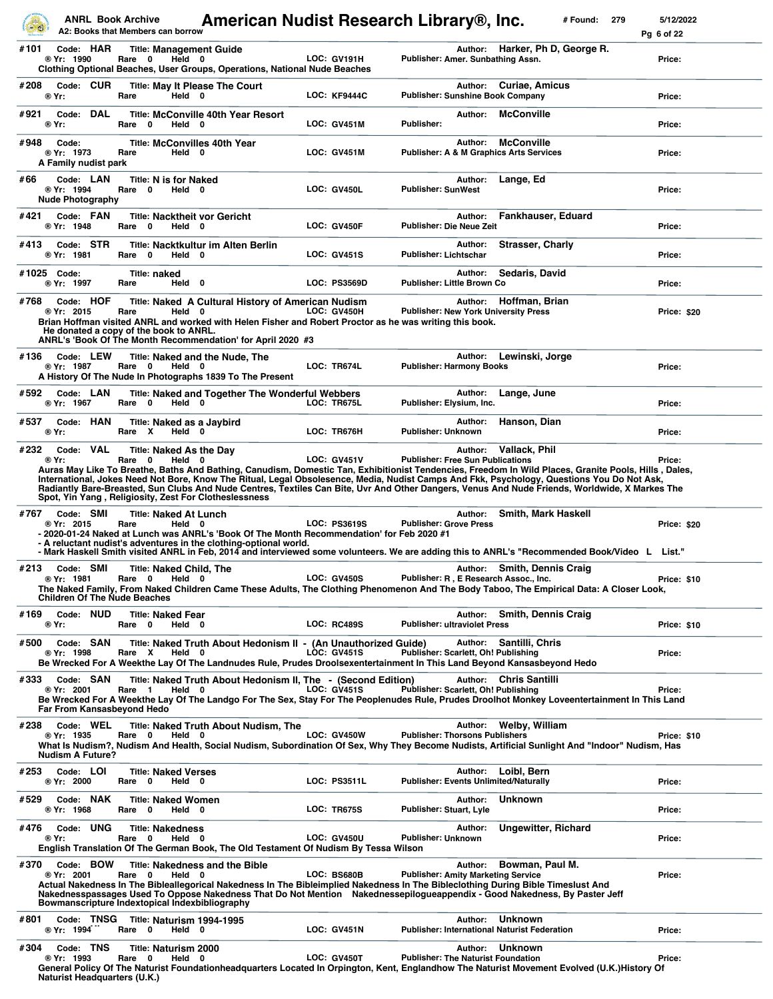|      |                                                    |     | <b>ANRL Book Archive</b><br>A2: Books that Members can borrow |                                                          | American Nudist Research Library®, Inc.                                                                                                                                                                                                                                                                                                                                                                                                                                                                       |                     |                                              |         |                                                                         | # Found: | 279 | 5/12/2022<br>Pq 6 of 22 |
|------|----------------------------------------------------|-----|---------------------------------------------------------------|----------------------------------------------------------|---------------------------------------------------------------------------------------------------------------------------------------------------------------------------------------------------------------------------------------------------------------------------------------------------------------------------------------------------------------------------------------------------------------------------------------------------------------------------------------------------------------|---------------------|----------------------------------------------|---------|-------------------------------------------------------------------------|----------|-----|-------------------------|
| #101 | Code: HAR<br>® Yr: 1990                            |     | Rare 0                                                        | <b>Title: Management Guide</b><br>Held 0                 | <b>Clothing Optional Beaches, User Groups, Operations, National Nude Beaches</b>                                                                                                                                                                                                                                                                                                                                                                                                                              | LOC: GV191H         | Publisher: Amer. Sunbathing Assn.            |         | Author: Harker, Ph D, George R.                                         |          |     | Price:                  |
| #208 | Code: CUR<br>® Yr:                                 |     | Rare                                                          | Held 0                                                   | <b>Title: May It Please The Court</b>                                                                                                                                                                                                                                                                                                                                                                                                                                                                         | <b>LOC: KF9444C</b> | <b>Publisher: Sunshine Book Company</b>      |         | Author: Curiae, Amicus                                                  |          |     | Price:                  |
| #921 | Code:<br>® Yr:                                     | DAL | Rare<br>0                                                     | Held 0                                                   | <b>Title: McConville 40th Year Resort</b>                                                                                                                                                                                                                                                                                                                                                                                                                                                                     | LOC: GV451M         | Publisher:                                   | Author: | <b>McConville</b>                                                       |          |     | Price:                  |
| #948 | Code:<br>® Yr: 1973<br>A Family nudist park        |     | Rare                                                          | <b>Title: McConvilles 40th Year</b><br>Held 0            |                                                                                                                                                                                                                                                                                                                                                                                                                                                                                                               | LOC: GV451M         |                                              | Author: | <b>McConville</b><br><b>Publisher: A &amp; M Graphics Arts Services</b> |          |     | Price:                  |
| #66  | Code: LAN<br>® Yr: 1994<br><b>Nude Photography</b> |     | Rare 0                                                        | <b>Title: N is for Naked</b><br>Held 0                   |                                                                                                                                                                                                                                                                                                                                                                                                                                                                                                               | LOC: GV450L         | <b>Publisher: SunWest</b>                    | Author: | Lange, Ed                                                               |          |     | Price:                  |
| #421 | Code: FAN<br>® Yr: 1948                            |     | Rare 0                                                        | <b>Title: Nacktheit vor Gericht</b><br>Held 0            |                                                                                                                                                                                                                                                                                                                                                                                                                                                                                                               | LOC: GV450F         | <b>Publisher: Die Neue Zeit</b>              | Author: | Fankhauser, Eduard                                                      |          |     | Price:                  |
| #413 | Code: STR<br>® Yr: 1981                            |     | 0<br>Rare                                                     | Held 0                                                   | <b>Title: Nacktkultur im Alten Berlin</b>                                                                                                                                                                                                                                                                                                                                                                                                                                                                     | <b>LOC: GV451S</b>  | <b>Publisher: Lichtschar</b>                 | Author: | <b>Strasser, Charly</b>                                                 |          |     | Price:                  |
|      | #1025 Code:<br>® Yr: 1997                          |     | Title: naked<br>Rare                                          | Held 0                                                   |                                                                                                                                                                                                                                                                                                                                                                                                                                                                                                               | <b>LOC: PS3569D</b> | Publisher: Little Brown Co                   | Author: | Sedaris, David                                                          |          |     | Price:                  |
| #768 | Code: HOF<br>® Yr: 2015                            |     | Rare                                                          | Held 0<br>He donated a copy of the book to ANRL.         | Title: Naked A Cultural History of American Nudism<br>Brian Hoffman visited ANRL and worked with Helen Fisher and Robert Proctor as he was writing this book.<br>ANRL's 'Book Of The Month Recommendation' for April 2020 #3                                                                                                                                                                                                                                                                                  | LOC: GV450H         | <b>Publisher: New York University Press</b>  |         | Author: Hoffman, Brian                                                  |          |     | Price: \$20             |
| #136 | Code: LEW<br>® Yr: 1987                            |     | Rare 0                                                        | Held 0                                                   | Title: Naked and the Nude, The<br>A History Of The Nude In Photographs 1839 To The Present                                                                                                                                                                                                                                                                                                                                                                                                                    | LOC: TR674L         | <b>Publisher: Harmony Books</b>              | Author: | Lewinski, Jorge                                                         |          |     | Price:                  |
| #592 | Code: LAN<br>® Yr: 1967                            |     | Rare 0                                                        | Held 0                                                   | Title: Naked and Together The Wonderful Webbers                                                                                                                                                                                                                                                                                                                                                                                                                                                               | LOC: TR675L         | Publisher: Elysium, Inc.                     | Author: | Lange, June                                                             |          |     | Price:                  |
| #537 | Code: HAN<br>® Yr:                                 |     | Rare X                                                        | Title: Naked as a Jaybird<br>Held 0                      |                                                                                                                                                                                                                                                                                                                                                                                                                                                                                                               | LOC: TR676H         | Publisher: Unknown                           | Author: | Hanson, Dian                                                            |          |     | Price:                  |
| #232 | Code: VAL<br>® Yr:                                 |     | Rare 0                                                        | Title: Naked As the Day<br>Held 0                        | Auras May Like To Breathe, Baths And Bathing, Canudism, Domestic Tan, Exhibitionist Tendencies, Freedom In Wild Places, Granite Pools, Hills, Dales,<br>International, Jokes Need Not Bore, Know The Ritual, Legal Obsolesence, Media, Nudist Camps And Fkk, Psychology, Questions You Do Not Ask,<br>Radiantly Bare-Breasted, Sun Clubs And Nude Centres, Textiles Can Bite, Uvr And Other Dangers, Venus And Nude Friends, Worldwide, X Markes The<br>Spot, Yin Yang, Religiosity, Zest For Clotheslessness | <b>LOC: GV451V</b>  | <b>Publisher: Free Sun Publications</b>      | Author: | Vallack, Phil                                                           |          |     | Price:                  |
| #767 | Code: SMI<br>® Yr: 2015                            |     | Rare                                                          | <b>Title: Naked At Lunch</b><br>Held 0                   | - 2020-01-24 Naked at Lunch was ANRL's 'Book Of The Month Recommendation' for Feb 2020 #1<br>- A reluctant nudist's adventures in the clothing-optional world.<br>- Mark Haskell Smith visited ANRL in Feb, 2014 and interviewed some volunteers. We are adding this to ANRL's "Recommended Book/Video L List."                                                                                                                                                                                               | <b>LOC: PS3619S</b> | <b>Publisher: Grove Press</b>                | Author: | <b>Smith, Mark Haskell</b>                                              |          |     | <b>Price: \$20</b>      |
| #213 | Code: SMI<br>® Yr: 1981                            |     | <b>Children Of The Nude Beaches</b>                           | <b>Title: Naked Child, The</b><br>Rare 0 Held 0          | The Naked Family, From Naked Children Came These Adults, The Clothing Phenomenon And The Body Taboo, The Empirical Data: A Closer Look,                                                                                                                                                                                                                                                                                                                                                                       | LOC: GV450S         | Publisher: R, E Research Assoc., Inc.        |         | Author: Smith, Dennis Craig                                             |          |     | <b>Price: \$10</b>      |
| #169 | Code: NUD<br>® Yr:                                 |     | Rare 0                                                        | <b>Title: Naked Fear</b><br>Held 0                       |                                                                                                                                                                                                                                                                                                                                                                                                                                                                                                               | <b>LOC: RC489S</b>  | <b>Publisher: ultraviolet Press</b>          | Author: | <b>Smith, Dennis Craig</b>                                              |          |     | Price: \$10             |
| #500 | Code: SAN<br>® Yr: 1998                            |     | Rare X                                                        | Held 0                                                   | Title: Naked Truth About Hedonism II - (An Unauthorized Guide)<br>Be Wrecked For A Weekthe Lay Of The Landnudes Rule, Prudes Droolsexentertainment In This Land Beyond Kansasbeyond Hedo                                                                                                                                                                                                                                                                                                                      | <b>LOC: GV451S</b>  | Publisher: Scarlett, Oh! Publishing          |         | Author: Santilli, Chris                                                 |          |     | Price:                  |
| #333 | Code: SAN<br>® Yr: 2001                            |     | Rare 1<br><b>Far From Kansasbeyond Hedo</b>                   | Held 0                                                   | Title: Naked Truth About Hedonism II, The - (Second Edition)<br>Be Wrecked For A Weekthe Lay Of The Landgo For The Sex, Stay For The Peoplenudes Rule, Prudes Droolhot Monkey Loveentertainment In This Land                                                                                                                                                                                                                                                                                                  | <b>LOC: GV451S</b>  | Publisher: Scarlett, Oh! Publishing          |         | Author: Chris Santilli                                                  |          |     | Price:                  |
| #238 | Code: WEL<br>® Yr: 1935<br><b>Nudism A Future?</b> |     | Rare 0                                                        | Held 0                                                   | <b>Title: Naked Truth About Nudism, The</b><br>What Is Nudism?, Nudism And Health, Social Nudism, Subordination Of Sex, Why They Become Nudists, Artificial Sunlight And "Indoor" Nudism, Has                                                                                                                                                                                                                                                                                                                 | <b>LOC: GV450W</b>  | <b>Publisher: Thorsons Publishers</b>        | Author: | Welby, William                                                          |          |     | Price: \$10             |
| #253 | Code: LOI<br>® Yr: 2000                            |     | Rare 0                                                        | <b>Title: Naked Verses</b><br>Held 0                     |                                                                                                                                                                                                                                                                                                                                                                                                                                                                                                               | <b>LOC: PS3511L</b> | <b>Publisher: Events Unlimited/Naturally</b> |         | Author: Loibl, Bern                                                     |          |     | Price:                  |
| #529 | Code: NAK<br>® Yr: 1968                            |     | Rare 0                                                        | <b>Title: Naked Women</b><br>Held 0                      |                                                                                                                                                                                                                                                                                                                                                                                                                                                                                                               | <b>LOC: TR675S</b>  | Publisher: Stuart, Lyle                      | Author: | <b>Unknown</b>                                                          |          |     | Price:                  |
| #476 | Code: UNG<br>® Yr:                                 |     | Rare 0                                                        | <b>Title: Nakedness</b><br>Held 0                        | English Translation Of The German Book, The Old Testament Of Nudism By Tessa Wilson                                                                                                                                                                                                                                                                                                                                                                                                                           | <b>LOC: GV450U</b>  | <b>Publisher: Unknown</b>                    | Author: | <b>Ungewitter, Richard</b>                                              |          |     | Price:                  |
| #370 | Code: BOW<br>® Yr: 2001                            |     | Rare 0                                                        | Held 0<br>Bowmanscripture Indextopical Indexbibliography | <b>Title: Nakedness and the Bible</b><br>Actual Nakedness In The Bibleallegorical Nakedness In The Bibleimplied Nakedness In The Bibleclothing During Bible Timeslust And<br>Nakednesspassages Used To Oppose Nakedness That Do Not Mention Nakednessepilogueappendix - Good Nakedness, By Paster Jeff                                                                                                                                                                                                        | LOC: BS680B         | <b>Publisher: Amity Marketing Service</b>    | Author: | Bowman, Paul M.                                                         |          |     | Price:                  |
| #801 | ® Yr: 1994                                         |     | Rare 0                                                        | Code: TNSG Title: Naturism 1994-1995<br>Held 0           |                                                                                                                                                                                                                                                                                                                                                                                                                                                                                                               | LOC: GV451N         |                                              |         | Author: Unknown<br><b>Publisher: International Naturist Federation</b>  |          |     | Price:                  |
| #304 | Code: TNS<br>® Yr: 1993                            |     | 0<br>Rare<br><b>Naturist Headquarters (U.K.)</b>              | Title: Naturism 2000<br>Held 0                           | General Policy Of The Naturist Foundationheadquarters Located In Orpington, Kent, Englandhow The Naturist Movement Evolved (U.K.)History Of                                                                                                                                                                                                                                                                                                                                                                   | LOC: GV450T         | <b>Publisher: The Naturist Foundation</b>    |         | Author: Unknown                                                         |          |     | Price:                  |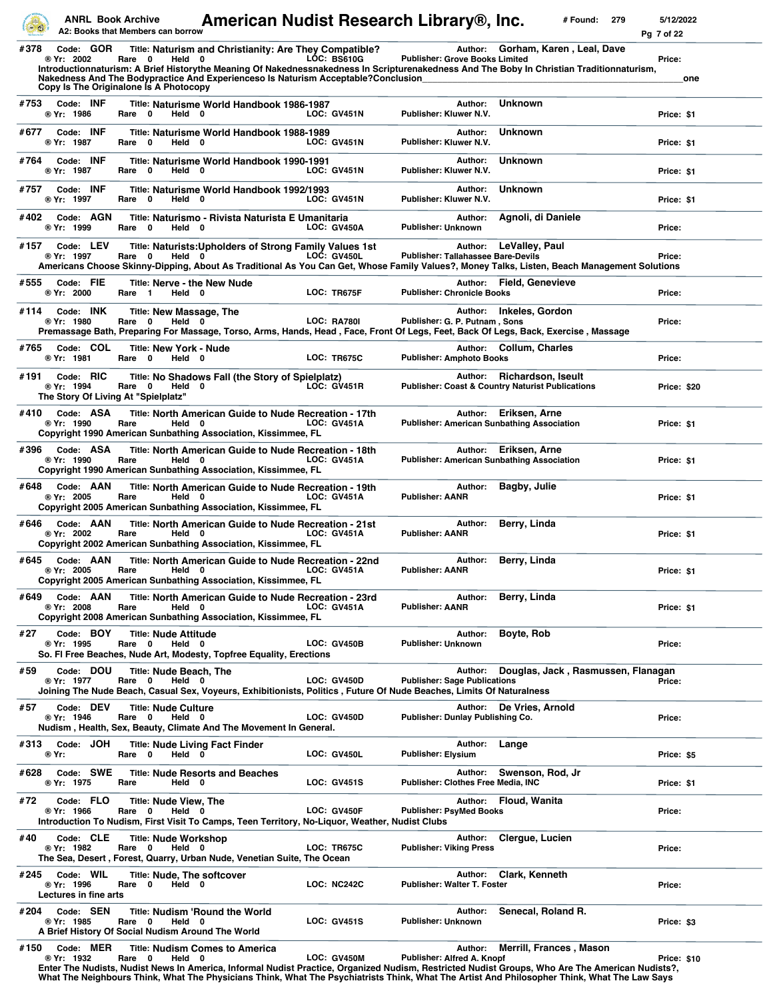|      | <b>ANRL Book Archive</b>                         | A2: Books that Members can borrow                                                  |                                                                        | American Nudist Research Library®, Inc.                                                                                                                                                                                                                                                                               |                                                              | # Found:                                                                                  | 5/12/2022<br>279<br>Pg 7 of 22 |
|------|--------------------------------------------------|------------------------------------------------------------------------------------|------------------------------------------------------------------------|-----------------------------------------------------------------------------------------------------------------------------------------------------------------------------------------------------------------------------------------------------------------------------------------------------------------------|--------------------------------------------------------------|-------------------------------------------------------------------------------------------|--------------------------------|
| #378 | Code: GOR<br>® Yr: 2002                          | Rare 0<br>Held 0<br>Copy Is The Originalone Is A Photocopy                         |                                                                        | Title: Naturism and Christianity: Are They Compatible?<br><b>LOC: BS610G</b><br>Introductionnaturism: A Brief Historythe Meaning Of Nakednessnakedness In Scripturenakedness And The Boby In Christian Traditionnaturism,<br>Nakedness And The Bodypractice And Experienceso Is Naturism Acceptable?Conclusion        | <b>Publisher: Grove Books Limited</b>                        | Author: Gorham, Karen, Leal, Dave                                                         | Price:<br>one                  |
| #753 | Code: INF<br>® Yr: 1986                          | Rare 0<br>Held 0                                                                   | Title: Naturisme World Handbook 1986-1987                              | <b>LOC: GV451N</b>                                                                                                                                                                                                                                                                                                    | Author:<br>Publisher: Kluwer N.V.                            | <b>Unknown</b>                                                                            | Price: \$1                     |
| #677 | Code: INF<br>® Yr: 1987                          | Rare 0<br>Held 0                                                                   | Title: Naturisme World Handbook 1988-1989                              | <b>LOC: GV451N</b>                                                                                                                                                                                                                                                                                                    | Author:<br>Publisher: Kluwer N.V.                            | <b>Unknown</b>                                                                            | Price: \$1                     |
| #764 | Code: INF<br>® Yr: 1987                          | 0<br>Held 0<br>Rare                                                                | Title: Naturisme World Handbook 1990-1991                              | <b>LOC: GV451N</b>                                                                                                                                                                                                                                                                                                    | Author:<br>Publisher: Kluwer N.V.                            | <b>Unknown</b>                                                                            | Price: \$1                     |
| #757 | Code: INF<br>® Yr: 1997                          | Rare 0<br>Held 0                                                                   | Title: Naturisme World Handbook 1992/1993                              | <b>LOC: GV451N</b>                                                                                                                                                                                                                                                                                                    | Author:<br>Publisher: Kluwer N.V.                            | <b>Unknown</b>                                                                            | Price: \$1                     |
| #402 | Code: AGN<br>® Yr: 1999                          | Rare 0<br>Held 0                                                                   | Title: Naturismo - Rivista Naturista E Umanitaria                      | LOC: GV450A                                                                                                                                                                                                                                                                                                           | Author:<br><b>Publisher: Unknown</b>                         | Agnoli, di Daniele                                                                        | Price:                         |
| #157 | Code: LEV<br>® Yr: 1997                          | Rare 0<br>Held $0$                                                                 |                                                                        | Title: Naturists: Upholders of Strong Family Values 1st<br>LOC: GV450L<br>Americans Choose Skinny-Dipping, About As Traditional As You Can Get, Whose Family Values?, Money Talks, Listen, Beach Management Solutions                                                                                                 | Author:<br><b>Publisher: Tallahassee Bare-Devils</b>         | LeValley, Paul                                                                            | Price:                         |
| #555 | Code: FIE<br>® Yr: 2000                          | Title: Nerve - the New Nude<br>Held 0<br>Rare 1                                    |                                                                        | LOC: TR675F                                                                                                                                                                                                                                                                                                           | <b>Publisher: Chronicle Books</b>                            | Author: Field, Genevieve                                                                  | Price:                         |
| #114 | Code: INK<br>® Yr: 1980                          | Title: New Massage, The<br>Rare 0<br>Held 0                                        |                                                                        | <b>LOC: RA780I</b><br>Premassage Bath, Preparing For Massage, Torso, Arms, Hands, Head, Face, Front Of Legs, Feet, Back Of Legs, Back, Exercise, Massage                                                                                                                                                              | Publisher: G. P. Putnam, Sons                                | Author: Inkeles, Gordon                                                                   | Price:                         |
| #765 | Code: COL<br>® Yr: 1981                          | <b>Title: New York - Nude</b><br>Rare 0<br>Held 0                                  |                                                                        | LOC: TR675C                                                                                                                                                                                                                                                                                                           | <b>Publisher: Amphoto Books</b>                              | Author: Collum, Charles                                                                   | Price:                         |
| #191 | Code: RIC<br>® Yr: 1994                          | Rare 0<br>Held 0<br>The Story Of Living At "Spielplatz"                            | Title: No Shadows Fall (the Story of Spielplatz)                       | <b>LOC: GV451R</b>                                                                                                                                                                                                                                                                                                    |                                                              | Author: Richardson, Iseult<br><b>Publisher: Coast &amp; Country Naturist Publications</b> | Price: \$20                    |
| #410 | Code: ASA<br>® Yr: 1990                          | Held 0<br>Rare                                                                     | Copyright 1990 American Sunbathing Association, Kissimmee, FL          | Title: North American Guide to Nude Recreation - 17th<br><b>LOC: GV451A</b>                                                                                                                                                                                                                                           | Author:<br><b>Publisher: American Sunbathing Association</b> | Eriksen, Arne                                                                             | Price: \$1                     |
| #396 | Code: ASA<br>® Yr: 1990                          | Rare<br>Held 0                                                                     | Copyright 1990 American Sunbathing Association, Kissimmee, FL          | Title: North American Guide to Nude Recreation - 18th<br><b>LOC: GV451A</b>                                                                                                                                                                                                                                           | Author:<br><b>Publisher: American Sunbathing Association</b> | Eriksen, Arne                                                                             | Price: \$1                     |
| #648 | Code: AAN<br>® Yr: 2005                          | Rare<br>Held 0                                                                     | Copyright 2005 American Sunbathing Association, Kissimmee, FL          | Title: North American Guide to Nude Recreation - 19th<br><b>LOC: GV451A</b>                                                                                                                                                                                                                                           | Author:<br><b>Publisher: AANR</b>                            | Bagby, Julie                                                                              | Price: \$1                     |
| #646 | Code: AAN<br>® Yr: 2002                          | Rare<br>Held 0                                                                     | Copyright 2002 American Sunbathing Association, Kissimmee, FL          | Title: North American Guide to Nude Recreation - 21st<br><b>LOC: GV451A</b>                                                                                                                                                                                                                                           | Author:<br><b>Publisher: AANR</b>                            | Berry, Linda                                                                              | Price: \$1                     |
| #645 | Code: AAN<br>® Yr: 2005                          | Rare<br>Held 0                                                                     | Copyright 2005 American Sunbathing Association, Kissimmee, FL          | Title: North American Guide to Nude Recreation - 22nd<br><b>LOC: GV451A</b>                                                                                                                                                                                                                                           | Author:<br><b>Publisher: AANR</b>                            | Berry, Linda                                                                              | Price: \$1                     |
| #649 | Code: AAN<br>® Yr: 2008                          | Rare<br>Held 0                                                                     | Copyright 2008 American Sunbathing Association, Kissimmee, FL          | Title: North American Guide to Nude Recreation - 23rd<br>LOC: GV451A                                                                                                                                                                                                                                                  | Author:<br><b>Publisher: AANR</b>                            | Berry, Linda                                                                              | Price: \$1                     |
| #27  | Code: BOY<br>® Yr: 1995                          | <b>Title: Nude Attitude</b><br>Rare 0<br>Held 0                                    | So. Fl Free Beaches, Nude Art, Modesty, Topfree Equality, Erections    | <b>LOC: GV450B</b>                                                                                                                                                                                                                                                                                                    | Author:<br><b>Publisher: Unknown</b>                         | Boyte, Rob                                                                                | Price:                         |
| #59  | Code: DOU<br>® Yr: 1977                          | <b>Title: Nude Beach, The</b><br>Rare 0<br>Held 0                                  |                                                                        | <b>LOC: GV450D</b><br>Joining The Nude Beach, Casual Sex, Voyeurs, Exhibitionists, Politics, Future Of Nude Beaches, Limits Of Naturalness                                                                                                                                                                            | Author:<br><b>Publisher: Sage Publications</b>               | Douglas, Jack, Rasmussen, Flanagan                                                        | Price:                         |
| #57  | Code: DEV<br>® Yr: 1946                          | <b>Title: Nude Culture</b><br>Rare 0<br>Held 0                                     | Nudism, Health, Sex, Beauty, Climate And The Movement In General.      | <b>LOC: GV450D</b>                                                                                                                                                                                                                                                                                                    | Publisher: Dunlay Publishing Co.                             | Author: De Vries, Arnold                                                                  | Price:                         |
| #313 | Code: JOH<br>® Yr:                               | Rare 0<br>Held 0                                                                   | <b>Title: Nude Living Fact Finder</b>                                  | LOC: GV450L                                                                                                                                                                                                                                                                                                           | Author:<br><b>Publisher: Elysium</b>                         | Lange                                                                                     | Price: \$5                     |
| #628 | Code: SWE<br>® Yr: 1975                          | Rare<br>Held 0                                                                     | <b>Title: Nude Resorts and Beaches</b>                                 | <b>LOC: GV451S</b>                                                                                                                                                                                                                                                                                                    | Author:<br>Publisher: Clothes Free Media, INC                | Swenson, Rod, Jr                                                                          | Price: \$1                     |
| #72  | Code: FLO<br>® Yr: 1966                          | <b>Title: Nude View, The</b><br>Rare 0<br>Held 0                                   |                                                                        | LOC: GV450F<br>Introduction To Nudism, First Visit To Camps, Teen Territory, No-Liquor, Weather, Nudist Clubs                                                                                                                                                                                                         | Author:<br><b>Publisher: PsyMed Books</b>                    | Floud, Wanita                                                                             | Price:                         |
| #40  | Code: CLE<br>® Yr: 1982                          | Title: Nude Workshop<br>Rare 0<br>Held 0                                           | The Sea, Desert, Forest, Quarry, Urban Nude, Venetian Suite, The Ocean | LOC: TR675C                                                                                                                                                                                                                                                                                                           | Author:<br><b>Publisher: Viking Press</b>                    | Clergue, Lucien                                                                           | Price:                         |
| #245 | Code: WIL<br>® Yr: 1996<br>Lectures in fine arts | Title: Nude, The softcover<br>Rare 0<br>Held 0                                     |                                                                        | LOC: NC242C                                                                                                                                                                                                                                                                                                           | Author:<br><b>Publisher: Walter T. Foster</b>                | Clark, Kenneth                                                                            | Price:                         |
| #204 | Code: SEN<br>® Yr: 1985                          | Rare<br>$\mathbf 0$<br>Held 0<br>A Brief History Of Social Nudism Around The World | <b>Title: Nudism 'Round the World</b>                                  | <b>LOC: GV451S</b>                                                                                                                                                                                                                                                                                                    | Author:<br><b>Publisher: Unknown</b>                         | Senecal, Roland R.                                                                        | Price: \$3                     |
| #150 | Code: MER<br>® Yr: 1932                          | $\mathbf 0$<br>Held 0<br>Rare                                                      | <b>Title: Nudism Comes to America</b>                                  | <b>LOC: GV450M</b><br>Enter The Nudists, Nudist News In America, Informal Nudist Practice, Organized Nudism, Restricted Nudist Groups, Who Are The American Nudists?,<br>What The Neighbours Think, What The Physicians Think, What The Psychiatrists Think, What The Artist And Philosopher Think, What The Law Says | Author:<br>Publisher: Alfred A. Knopf                        | <b>Merrill, Frances, Mason</b>                                                            | Price: \$10                    |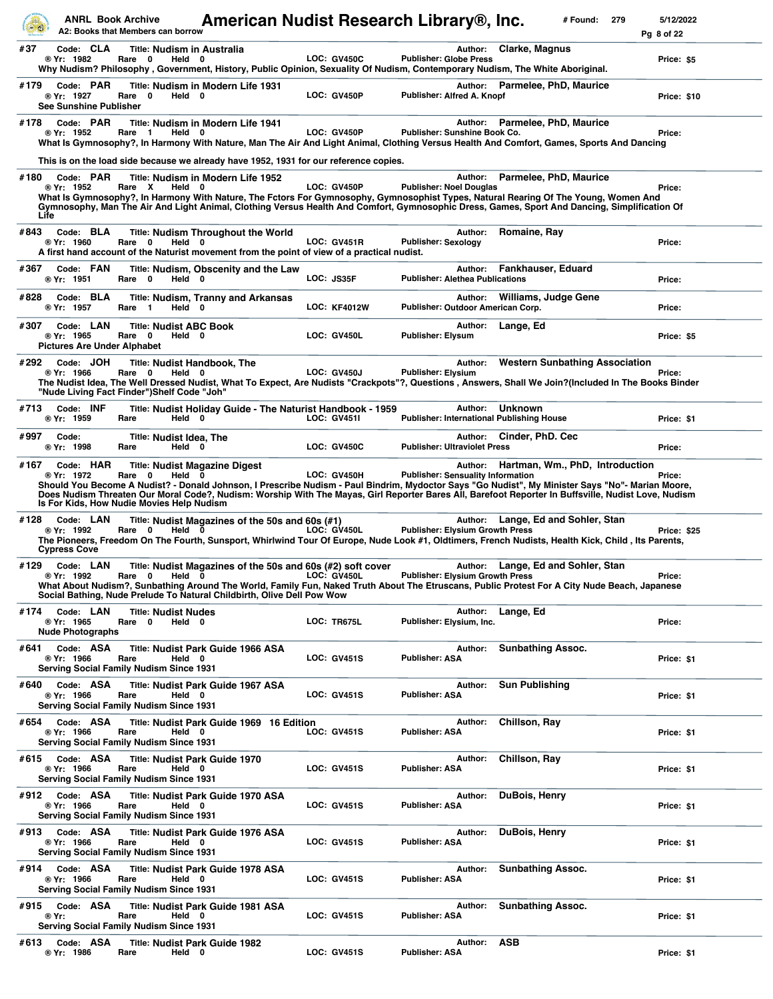|              | <b>ANRL Book Archive</b>                                      | A2: Books that Members can borrow                                                                    | American Nudist Research Library®, Inc.                                                                                                                                                                                                                                                                                                         |                     |                                          |         |                                                      | # Found: | 279 | 5/12/2022<br>Pg 8 of 22 |
|--------------|---------------------------------------------------------------|------------------------------------------------------------------------------------------------------|-------------------------------------------------------------------------------------------------------------------------------------------------------------------------------------------------------------------------------------------------------------------------------------------------------------------------------------------------|---------------------|------------------------------------------|---------|------------------------------------------------------|----------|-----|-------------------------|
| #37          | Code: CLA<br>® Yr: 1982                                       | <b>Title: Nudism in Australia</b><br>Rare 0<br>Held 0                                                | Why Nudism? Philosophy , Government, History, Public Opinion, Sexuality Of Nudism, Contemporary Nudism, The White Aboriginal.                                                                                                                                                                                                                   | <b>LOC: GV450C</b>  | <b>Publisher: Globe Press</b>            | Author: | <b>Clarke, Magnus</b>                                |          |     | Price: \$5              |
| #179         | Code: PAR<br>® Yr: 1927<br><b>See Sunshine Publisher</b>      | Rare 0<br>Held 0                                                                                     | Title: Nudism in Modern Life 1931                                                                                                                                                                                                                                                                                                               | LOC: GV450P         | Publisher: Alfred A. Knopf               |         | Author: Parmelee, PhD, Maurice                       |          |     | <b>Price: \$10</b>      |
| #178         | Code: PAR<br>® Yr: 1952                                       | Rare 1<br>Held 0                                                                                     | Title: Nudism in Modern Life 1941<br>What Is Gymnosophy?, In Harmony With Nature, Man The Air And Light Animal, Clothing Versus Health And Comfort, Games, Sports And Dancing<br>This is on the load side because we already have 1952, 1931 for our reference copies.                                                                          | LOC: GV450P         | Publisher: Sunshine Book Co.             | Author: | Parmelee, PhD, Maurice                               |          |     | Price:                  |
| #180<br>Life | Code: PAR<br>® Yr: 1952                                       | Rare X<br>Held 0                                                                                     | Title: Nudism in Modern Life 1952<br>What Is Gymnosophy?, In Harmony With Nature, The Fctors For Gymnosophy, Gymnosophist Types, Natural Rearing Of The Young, Women And<br>Gymnosophy, Man The Air And Light Animal, Clothing Versus Health And Comfort, Gymnosophic Dress, Games, Sport And Dancing, Simplification Of                        | LOC: GV450P         | <b>Publisher: Noel Douglas</b>           | Author: | Parmelee, PhD, Maurice                               |          |     | Price:                  |
| #843         | Code: BLA<br>® Yr: 1960                                       | Rare<br>0<br>Held 0                                                                                  | <b>Title: Nudism Throughout the World</b><br>A first hand account of the Naturist movement from the point of view of a practical nudist.                                                                                                                                                                                                        | <b>LOC: GV451R</b>  | <b>Publisher: Sexology</b>               | Author: | Romaine, Ray                                         |          |     | Price:                  |
| #367         | Code: FAN<br>® Yr: 1951                                       | Rare 0<br>Held 0                                                                                     | Title: Nudism, Obscenity and the Law                                                                                                                                                                                                                                                                                                            | LOC: JS35F          | <b>Publisher: Alethea Publications</b>   | Author: | Fankhauser, Eduard                                   |          |     | Price:                  |
| #828         | Code: BLA<br>® Yr: 1957                                       | Rare 1<br>Held 0                                                                                     | Title: Nudism, Tranny and Arkansas                                                                                                                                                                                                                                                                                                              | <b>LOC: KF4012W</b> | Publisher: Outdoor American Corp.        |         | Author: Williams, Judge Gene                         |          |     | Price:                  |
| #307         | Code: LAN<br>® Yr: 1965<br><b>Pictures Are Under Alphabet</b> | <b>Title: Nudist ABC Book</b><br>Rare 0<br>Held 0                                                    |                                                                                                                                                                                                                                                                                                                                                 | LOC: GV450L         | Publisher: Elysum                        | Author: | Lange, Ed                                            |          |     | Price: \$5              |
| #292         | Code: JOH<br>® Yr: 1966                                       | <b>Title: Nudist Handbook, The</b><br>Rare 0<br>Held 0<br>"Nude Living Fact Finder")Shelf Code "Joh" | The Nudist Idea, The Well Dressed Nudist, What To Expect, Are Nudists "Crackpots"?, Questions , Answers, Shall We Join?(Included In The Books Binder                                                                                                                                                                                            | <b>LOC: GV450J</b>  | <b>Publisher: Elysium</b>                | Author: | <b>Western Sunbathing Association</b>                |          |     | Price:                  |
| #713         | Code: INF<br>® Yr: 1959                                       | Rare<br>Held 0                                                                                       | Title: Nudist Holiday Guide - The Naturist Handbook - 1959                                                                                                                                                                                                                                                                                      | <b>LOC: GV451I</b>  |                                          | Author: | Unknown<br>Publisher: International Publishing House |          |     | Price: \$1              |
| #997         | Code:<br>® Yr: 1998                                           | <b>Title: Nudist Idea, The</b><br>Held 0<br>Rare                                                     |                                                                                                                                                                                                                                                                                                                                                 | <b>LOC: GV450C</b>  | <b>Publisher: Ultraviolet Press</b>      |         | Author: Cinder, PhD. Cec                             |          |     | Price:                  |
| #167         | Code: HAR<br>® Yr: 1972                                       | Rare 0<br>Held 0<br>Is For Kids, How Nudie Movies Help Nudism                                        | <b>Title: Nudist Magazine Digest</b><br>Should You Become A Nudist? - Donald Johnson, I Prescribe Nudism - Paul Bindrim, Mydoctor Says "Go Nudist", My Minister Says "No"- Marian Moore,<br>Does Nudism Threaten Our Moral Code?, Nudism: Worship With The Mayas, Girl Reporter Bares All, Barefoot Reporter In Buffsville, Nudist Love, Nudism | LOC: GV450H         | <b>Publisher: Sensuality Information</b> |         | Author: Hartman, Wm., PhD, Introduction              |          |     | Price:                  |
| #128         | Code: LAN<br>® Yr: 1992<br>Cypress Cove                       | Held $\ddot{\mathbf{0}}$<br>Rare 0                                                                   | Title: Nudist Magazines of the 50s and 60s (#1)<br>The Pioneers, Freedom On The Fourth, Sunsport, Whirlwind Tour Of Europe, Nude Look #1, Oldtimers, French Nudists, Health Kick, Child , Its Parents,                                                                                                                                          | LOC: GV450L         | <b>Publisher: Elysium Growth Press</b>   |         | Author: Lange, Ed and Sohler, Stan                   |          |     | Price: \$25             |
| #129         | Code: LAN<br>® Yr: 1992                                       | Rare 0<br>Held 0                                                                                     | Title: Nudist Magazines of the 50s and 60s (#2) soft cover<br>What About Nudism?, Sunbathing Around The World, Family Fun, Naked Truth About The Etruscans, Public Protest For A City Nude Beach, Japanese<br>Social Bathing, Nude Prelude To Natural Childbirth, Olive Dell Pow Wow                                                            | LOC: GV450L         | <b>Publisher: Elysium Growth Press</b>   |         | Author: Lange, Ed and Sohler, Stan                   |          |     | Price:                  |
| #174         | Code: LAN<br>® Yr: 1965<br><b>Nude Photographs</b>            | <b>Title: Nudist Nudes</b><br>Rare 0<br>Held 0                                                       |                                                                                                                                                                                                                                                                                                                                                 | LOC: TR675L         | Publisher: Elysium, Inc.                 | Author: | Lange, Ed                                            |          |     | Price:                  |
| #641         | Code: ASA<br>® Yr: 1966                                       | Rare<br>Held 0<br><b>Serving Social Family Nudism Since 1931</b>                                     | <b>Title: Nudist Park Guide 1966 ASA</b>                                                                                                                                                                                                                                                                                                        | <b>LOC: GV451S</b>  | Publisher: ASA                           | Author: | <b>Sunbathing Assoc.</b>                             |          |     | Price: \$1              |
| #640         | Code: ASA<br>® Yr: 1966                                       | Rare<br>Held 0<br><b>Serving Social Family Nudism Since 1931</b>                                     | <b>Title: Nudist Park Guide 1967 ASA</b>                                                                                                                                                                                                                                                                                                        | <b>LOC: GV451S</b>  | <b>Publisher: ASA</b>                    | Author: | <b>Sun Publishing</b>                                |          |     | Price: \$1              |
| #654         | Code: ASA<br>® Yr: 1966                                       | Rare<br>Held 0<br>Serving Social Family Nudism Since 1931                                            | Title: Nudist Park Guide 1969 16 Edition                                                                                                                                                                                                                                                                                                        | <b>LOC: GV451S</b>  | <b>Publisher: ASA</b>                    | Author: | Chillson, Ray                                        |          |     | Price: \$1              |
| #615         | Code: ASA<br>® Yr: 1966                                       | Title: Nudist Park Guide 1970<br>Rare<br>Held 0<br>Serving Social Family Nudism Since 1931           |                                                                                                                                                                                                                                                                                                                                                 | <b>LOC: GV451S</b>  | Publisher: ASA                           | Author: | Chillson, Ray                                        |          |     | Price: \$1              |
| #912         | Code: ASA<br>® Yr: 1966                                       | Rare<br>Held 0<br><b>Serving Social Family Nudism Since 1931</b>                                     | Title: Nudist Park Guide 1970 ASA                                                                                                                                                                                                                                                                                                               | <b>LOC: GV451S</b>  | <b>Publisher: ASA</b>                    | Author: | DuBois, Henry                                        |          |     | Price: \$1              |
|              | #913 Code: ASA<br>® Yr: 1966                                  | Rare<br>Held 0<br><b>Serving Social Family Nudism Since 1931</b>                                     | <b>Title: Nudist Park Guide 1976 ASA</b>                                                                                                                                                                                                                                                                                                        | <b>LOC: GV451S</b>  | <b>Publisher: ASA</b>                    | Author: | DuBois, Henry                                        |          |     | Price: \$1              |
| #914         | Code: ASA<br>® Yr: 1966                                       | Rare<br>Held 0<br><b>Serving Social Family Nudism Since 1931</b>                                     | Title: Nudist Park Guide 1978 ASA                                                                                                                                                                                                                                                                                                               | <b>LOC: GV451S</b>  | <b>Publisher: ASA</b>                    | Author: | <b>Sunbathing Assoc.</b>                             |          |     | Price: \$1              |
|              | #915 Code: ASA<br>® Yr:                                       | Rare<br>Held 0<br><b>Serving Social Family Nudism Since 1931</b>                                     | <b>Title: Nudist Park Guide 1981 ASA</b>                                                                                                                                                                                                                                                                                                        | <b>LOC: GV451S</b>  | <b>Publisher: ASA</b>                    | Author: | <b>Sunbathing Assoc.</b>                             |          |     | Price: \$1              |
| #613         | Code: ASA<br>® Yr: 1986                                       | <b>Title: Nudist Park Guide 1982</b><br>Held 0<br>Rare                                               |                                                                                                                                                                                                                                                                                                                                                 | <b>LOC: GV451S</b>  | Publisher: ASA                           | Author: | ASB                                                  |          |     | Price: \$1              |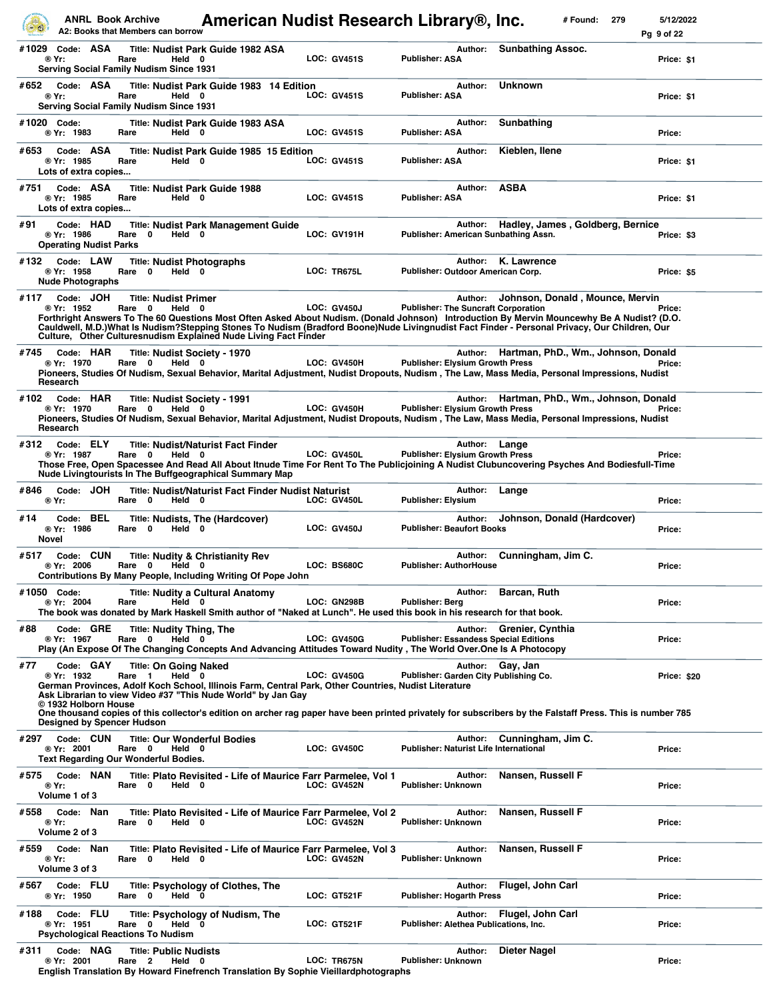|              | <b>ANRL Book Archive</b>                                                             | A2: Books that Members can borrow                                | American Nudist Research Library®, Inc.                                                                                                                                          |                    |                                            |               | # Found:<br>279                                                                                                                                                                                                                                                                                                               | 5/12/2022<br>Pg 9 of 22 |
|--------------|--------------------------------------------------------------------------------------|------------------------------------------------------------------|----------------------------------------------------------------------------------------------------------------------------------------------------------------------------------|--------------------|--------------------------------------------|---------------|-------------------------------------------------------------------------------------------------------------------------------------------------------------------------------------------------------------------------------------------------------------------------------------------------------------------------------|-------------------------|
| #1029        | Code: ASA<br>® Yr:                                                                   | Rare<br>Held 0<br><b>Serving Social Family Nudism Since 1931</b> | <b>Title: Nudist Park Guide 1982 ASA</b>                                                                                                                                         | <b>LOC: GV451S</b> | <b>Publisher: ASA</b>                      | Author:       | <b>Sunbathing Assoc.</b>                                                                                                                                                                                                                                                                                                      | Price: \$1              |
| #652         | Code: ASA<br>® Yr:                                                                   | Rare<br>Held 0<br>Serving Social Family Nudism Since 1931        | Title: Nudist Park Guide 1983 14 Edition                                                                                                                                         | <b>LOC: GV451S</b> | Publisher: ASA                             | Author:       | <b>Unknown</b>                                                                                                                                                                                                                                                                                                                | Price: \$1              |
| #1020 Code:  | ® Yr: 1983                                                                           | Rare                                                             | Title: Nudist Park Guide 1983 ASA<br>Held 0                                                                                                                                      | <b>LOC: GV451S</b> | Publisher: ASA                             | Author:       | Sunbathing                                                                                                                                                                                                                                                                                                                    | Price:                  |
| #653         | Code: ASA<br>® Yr: 1985<br>Lots of extra copies                                      | Rare                                                             | Title: Nudist Park Guide 1985 15 Edition<br>Held 0                                                                                                                               | <b>LOC: GV451S</b> | Publisher: ASA                             | Author:       | Kieblen, Ilene                                                                                                                                                                                                                                                                                                                | Price: \$1              |
| #751         | Code: ASA<br>® Yr: 1985<br>Lots of extra copies                                      | Rare                                                             | <b>Title: Nudist Park Guide 1988</b><br>Held 0                                                                                                                                   | <b>LOC: GV451S</b> | Publisher: ASA                             | Author:       | <b>ASBA</b>                                                                                                                                                                                                                                                                                                                   | Price: \$1              |
| #91          | Code: HAD<br>® Yr: 1986<br><b>Operating Nudist Parks</b>                             | 0<br>Held 0<br>Rare                                              | <b>Title: Nudist Park Management Guide</b>                                                                                                                                       | LOC: GV191H        |                                            | Author:       | Hadley, James, Goldberg, Bernice<br>Publisher: American Sunbathing Assn.                                                                                                                                                                                                                                                      | Price: \$3              |
| #132         | Code: LAW<br>® Yr: 1958<br><b>Nude Photographs</b>                                   | <b>Title: Nudist Photographs</b><br>Rare 0                       | Held 0                                                                                                                                                                           | LOC: TR675L        | Publisher: Outdoor American Corp.          | Author:       | K. Lawrence                                                                                                                                                                                                                                                                                                                   | Price: \$5              |
| #117         | Code: JOH<br>® Yr: 1952                                                              | <b>Title: Nudist Primer</b><br>Rare 0<br>Held 0                  | Culture, Other Culturesnudism Explained Nude Living Fact Finder                                                                                                                  | <b>LOC: GV450J</b> | <b>Publisher: The Suncraft Corporation</b> | Author:       | Johnson, Donald, Mounce, Mervin<br>Forthright Answers To The 60 Questions Most Often Asked About Nudism. (Donald Johnson) Introduction By Mervin Mouncewhy Be A Nudist? (D.O.<br>Cauldwell, M.D.)What Is Nudism?Stepping Stones To Nudism (Bradford Boone)Nude Livingnudist Fact Finder - Personal Privacy, Our Children, Our | Price:                  |
| #745         | Code: HAR<br>® Yr: 1970<br>Research                                                  | Rare 0<br>Held 0                                                 | Title: Nudist Society - 1970                                                                                                                                                     | LOC: GV450H        | <b>Publisher: Elysium Growth Press</b>     | Author:       | Hartman, PhD., Wm., Johnson, Donald<br>Pioneers, Studies Of Nudism, Sexual Behavior, Marital Adjustment, Nudist Dropouts, Nudism, The Law, Mass Media, Personal Impressions, Nudist                                                                                                                                           | Price:                  |
| #102         | Code: HAR<br>® Yr: 1970<br>Research                                                  | Rare 0<br>Held 0                                                 | <b>Title: Nudist Society - 1991</b>                                                                                                                                              | LOC: GV450H        | Publisher: Elysium Growth Press            | Author:       | Hartman, PhD., Wm., Johnson, Donald<br>Pioneers, Studies Of Nudism, Sexual Behavior, Marital Adjustment, Nudist Dropouts, Nudism , The Law, Mass Media, Personal Impressions, Nudist                                                                                                                                          | Price:                  |
| #312         | Code: ELY<br>® Yr: 1987                                                              | Rare 0<br>Held 0                                                 | <b>Title: Nudist/Naturist Fact Finder</b><br>Nude Livingtourists In The Buffgeographical Summary Map                                                                             | LOC: GV450L        | Publisher: Elysium Growth Press            | Author: Lange | Those Free, Open Spacessee And Read All About Itnude Time For Rent To The Publicjoining A Nudist Clubuncovering Psyches And Bodiesfull-Time                                                                                                                                                                                   | Price:                  |
| #846         | Code: JOH<br>® Yr:                                                                   | Rare 0<br>Held 0                                                 | Title: Nudist/Naturist Fact Finder Nudist Naturist                                                                                                                               | LOC: GV450L        | Publisher: Elysium                         | Author:       | Lange                                                                                                                                                                                                                                                                                                                         | Price:                  |
| #14<br>Novel | Code: BEL<br>® Yr: 1986                                                              | $\mathbf 0$<br>Rare                                              | Title: Nudists, The (Hardcover)<br>Held 0                                                                                                                                        | <b>LOC: GV450J</b> | <b>Publisher: Beaufort Books</b>           | Author:       | Johnson, Donald (Hardcover)                                                                                                                                                                                                                                                                                                   | Price:                  |
| #517         | Code: CUN<br>® Yr: 2006                                                              | Rare 0                                                           | <b>Title: Nudity &amp; Christianity Rev</b><br>Held 0<br>Contributions By Many People, Including Writing Of Pope John                                                            | LOC: BS680C        | <b>Publisher: AuthorHouse</b>              | Author:       | Cunningham, Jim C.                                                                                                                                                                                                                                                                                                            | Price:                  |
| #1050 Code:  | ® Yr: 2004                                                                           | Rare                                                             | <b>Title: Nudity a Cultural Anatomy</b><br>Held 0<br>The book was donated by Mark Haskell Smith author of "Naked at Lunch". He used this book in his research for that book.     | LOC: GN298B        | Publisher: Berg                            | Author:       | Barcan, Ruth                                                                                                                                                                                                                                                                                                                  | Price:                  |
| #88          | Code: GRE<br>® Yr: 1967                                                              | <b>Title: Nudity Thing, The</b><br>Rare 0<br>Held 0              | Play (An Expose Of The Changing Concepts And Advancing Attitudes Toward Nudity, The World Over.One Is A Photocopy                                                                | <b>LOC: GV450G</b> |                                            | Author:       | Grenier, Cynthia<br><b>Publisher: Essandess Special Editions</b>                                                                                                                                                                                                                                                              | Price:                  |
| #77          | Code: GAY<br>® Yr: 1932<br>© 1932 Holborn House<br><b>Designed by Spencer Hudson</b> | <b>Title: On Going Naked</b><br>Rare 1                           | Held $0$<br>German Provinces, Adolf Koch School, Illinois Farm, Central Park, Other Countries, Nudist Literature<br>Ask Librarian to view Video #37 "This Nude World" by Jan Gay | <b>LOC: GV450G</b> |                                            |               | Author: Gay, Jan<br>Publisher: Garden City Publishing Co.<br>One thousand copies of this collector's edition on archer rag paper have been printed privately for subscribers by the Falstaff Press. This is number 785                                                                                                        | <b>Price: \$20</b>      |
| #297         | Code: CUN<br>® Yr: 2001                                                              | Rare 0<br><b>Text Regarding Our Wonderful Bodies.</b>            | <b>Title: Our Wonderful Bodies</b><br>Held 0                                                                                                                                     | <b>LOC: GV450C</b> | Publisher: Naturist Life International     | Author:       | Cunningham, Jim C.                                                                                                                                                                                                                                                                                                            | Price:                  |
| #575         | Code: NAN<br>® Yr:<br>Volume 1 of 3                                                  | Rare 0                                                           | Title: Plato Revisited - Life of Maurice Farr Parmelee, Vol 1<br>Held 0                                                                                                          | LOC: GV452N        | Publisher: Unknown                         | Author:       | Nansen, Russell F                                                                                                                                                                                                                                                                                                             | Price:                  |
| #558         | Code: Nan<br>® Yr:<br>Volume 2 of 3                                                  | Rare 0<br>Held 0                                                 | Title: Plato Revisited - Life of Maurice Farr Parmelee, Vol 2                                                                                                                    | <b>LOC: GV452N</b> | <b>Publisher: Unknown</b>                  | Author:       | Nansen, Russell F                                                                                                                                                                                                                                                                                                             | Price:                  |
| #559         | Code: Nan<br>® Yr:<br>Volume 3 of 3                                                  | Rare 0<br>Held 0                                                 | Title: Plato Revisited - Life of Maurice Farr Parmelee, Vol 3                                                                                                                    | LOC: GV452N        | Publisher: Unknown                         | Author:       | Nansen, Russell F                                                                                                                                                                                                                                                                                                             | Price:                  |
| #567         | Code: FLU<br>® Yr: 1950                                                              | Rare 0<br>Held 0                                                 | Title: Psychology of Clothes, The                                                                                                                                                | <b>LOC: GT521F</b> | Publisher: Hogarth Press                   | Author:       | Flugel, John Carl                                                                                                                                                                                                                                                                                                             | Price:                  |
| #188         | Code: FLU<br>® Yr: 1951                                                              | Rare 0<br><b>Psychological Reactions To Nudism</b>               | Title: Psychology of Nudism, The<br>Held 0                                                                                                                                       | <b>LOC: GT521F</b> | Publisher: Alethea Publications, Inc.      |               | Author: Flugel, John Carl                                                                                                                                                                                                                                                                                                     | Price:                  |
| #311         | Code: NAG<br>® Yr: 2001                                                              | <b>Title: Public Nudists</b><br>Rare <sub>2</sub><br>Held 0      | <b>English Translation By Howard Finefrench Translation By Sophie Vieillardphotographs</b>                                                                                       | LOC: TR675N        | Publisher: Unknown                         | Author:       | Dieter Nagel                                                                                                                                                                                                                                                                                                                  | Price:                  |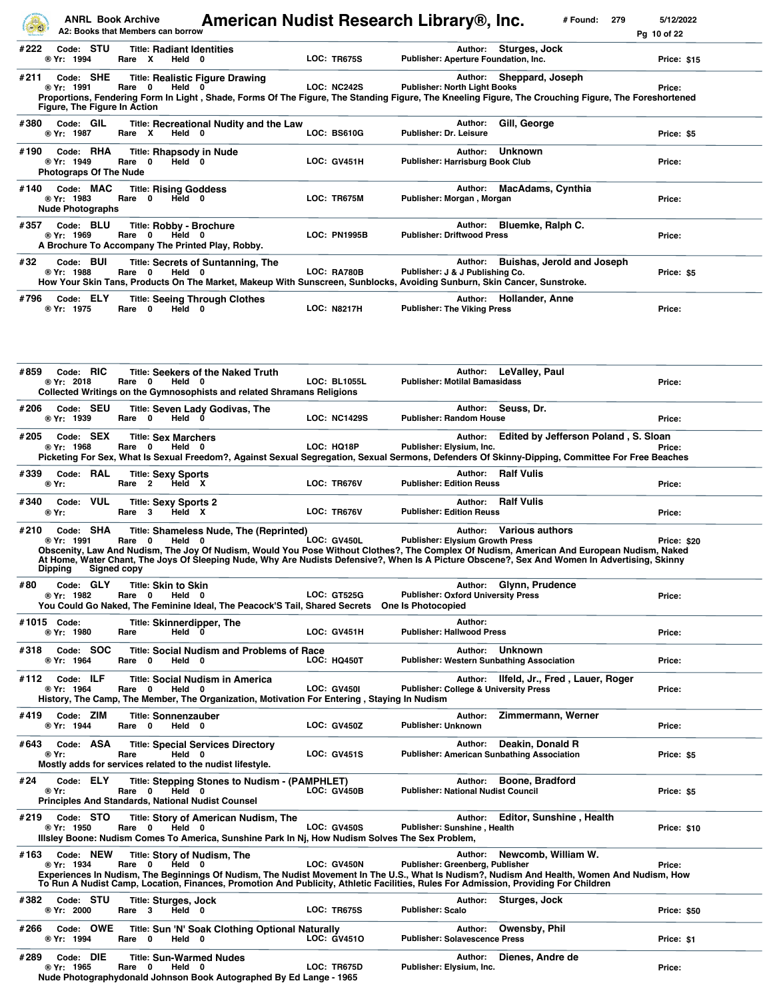|               | <b>ANRL Book Archive</b>                                 | A2: Books that Members can borrow                                                                             | American Nudist Research Library®, Inc.                                                                                                                             |                    |                     |                                                                        |         | # Found:<br>279                                                                                                                                                                                                                                                                                                       | 5/12/2022<br>Pg 10 of 22 |
|---------------|----------------------------------------------------------|---------------------------------------------------------------------------------------------------------------|---------------------------------------------------------------------------------------------------------------------------------------------------------------------|--------------------|---------------------|------------------------------------------------------------------------|---------|-----------------------------------------------------------------------------------------------------------------------------------------------------------------------------------------------------------------------------------------------------------------------------------------------------------------------|--------------------------|
| #222          | Code: STU<br>® Yr: 1994                                  | <b>Title: Radiant Identities</b><br>Rare X<br>Held 0                                                          |                                                                                                                                                                     | <b>LOC: TR675S</b> |                     |                                                                        |         | Author: Sturges, Jock<br>Publisher: Aperture Foundation, Inc.                                                                                                                                                                                                                                                         | <b>Price: \$15</b>       |
| #211          | Code: SHE<br>® Yr: 1991<br>Figure, The Figure In Action  | Rare 0<br>Held 0                                                                                              | <b>Title: Realistic Figure Drawing</b>                                                                                                                              | LOC: NC242S        |                     | <b>Publisher: North Light Books</b>                                    | Author: | Sheppard, Joseph<br>Proportions, Fendering Form In Light, Shade, Forms Of The Figure, The Standing Figure, The Kneeling Figure, The Crouching Figure, The Foreshortened                                                                                                                                               | Price:                   |
| #380          | Code: GIL<br>® Yr: 1987                                  | Rare X<br>Held 0                                                                                              | Title: Recreational Nudity and the Law                                                                                                                              | LOC: BS610G        |                     | <b>Publisher: Dr. Leisure</b>                                          | Author: | Gill, George                                                                                                                                                                                                                                                                                                          | Price: \$5               |
| #190          | Code: RHA<br>® Yr: 1949<br><b>Photograps Of The Nude</b> | <b>Title: Rhapsody in Nude</b><br>$\mathbf 0$<br>Held 0<br>Rare                                               |                                                                                                                                                                     | LOC: GV451H        |                     | Publisher: Harrisburg Book Club                                        | Author: | <b>Unknown</b>                                                                                                                                                                                                                                                                                                        | Price:                   |
| #140          | Code: MAC<br>® Yr: 1983<br><b>Nude Photographs</b>       | <b>Title: Rising Goddess</b><br>Rare<br>$\mathbf{0}$<br>Held 0                                                |                                                                                                                                                                     | LOC: TR675M        |                     | Publisher: Morgan, Morgan                                              | Author: | <b>MacAdams, Cynthia</b>                                                                                                                                                                                                                                                                                              | Price:                   |
| #357          | Code: BLU<br>® Yr: 1969                                  | Title: Robby - Brochure<br>$\mathbf{0}$<br>Held 0<br>Rare<br>A Brochure To Accompany The Printed Play, Robby. |                                                                                                                                                                     |                    | <b>LOC: PN1995B</b> | <b>Publisher: Driftwood Press</b>                                      | Author: | Bluemke, Ralph C.                                                                                                                                                                                                                                                                                                     | Price:                   |
| #32           | Code: BUI<br>® Yr: 1988                                  | Rare 0<br>Held 0                                                                                              | <b>Title: Secrets of Suntanning, The</b><br>How Your Skin Tans, Products On The Market, Makeup With Sunscreen, Sunblocks, Avoiding Sunburn, Skin Cancer, Sunstroke. | LOC: RA780B        |                     | Publisher: J & J Publishing Co.                                        | Author: | <b>Buishas, Jerold and Joseph</b>                                                                                                                                                                                                                                                                                     | Price: \$5               |
| #796          | Code: ELY<br>® Yr: 1975                                  | Rare<br>0<br>Held 0                                                                                           | <b>Title: Seeing Through Clothes</b>                                                                                                                                | <b>LOC: N8217H</b> |                     | <b>Publisher: The Viking Press</b>                                     | Author: | Hollander, Anne                                                                                                                                                                                                                                                                                                       | Price:                   |
| #859          | Code: RIC<br>® Yr: 2018                                  | Rare 0<br>Held 0                                                                                              | <b>Title: Seekers of the Naked Truth</b><br>Collected Writings on the Gymnosophists and related Shramans Religions                                                  |                    | <b>LOC: BL1055L</b> | <b>Publisher: Motilal Bamasidass</b>                                   | Author: | LeValley, Paul                                                                                                                                                                                                                                                                                                        | Price:                   |
| #206          | Code: SEU<br>® Yr: 1939                                  | Rare 0<br>Held 0                                                                                              | <b>Title: Seven Lady Godivas, The</b>                                                                                                                               |                    | <b>LOC: NC1429S</b> | <b>Publisher: Random House</b>                                         | Author: | Seuss, Dr.                                                                                                                                                                                                                                                                                                            | Price:                   |
| #205          | Code: SEX<br>® Yr: 1968                                  | <b>Title: Sex Marchers</b><br>$\mathbf{0}$<br>Rare<br>Held 0                                                  |                                                                                                                                                                     | LOC: HQ18P         |                     | Publisher: Elysium, Inc.                                               | Author: | Edited by Jefferson Poland, S. Sloan<br>Picketing For Sex, What Is Sexual Freedom?, Against Sexual Segregation, Sexual Sermons, Defenders Of Skinny-Dipping, Committee For Free Beaches                                                                                                                               | Price:                   |
| #339<br>® Yr: | Code: RAL                                                | <b>Title: Sexy Sports</b><br>$\overline{\mathbf{2}}$<br>Rare<br>Held X                                        |                                                                                                                                                                     | LOC: TR676V        |                     | <b>Publisher: Edition Reuss</b>                                        |         | <b>Author: Ralf Vulis</b>                                                                                                                                                                                                                                                                                             | Price:                   |
| #340          | VUL<br>Code:<br>® Yr:                                    | <b>Title: Sexy Sports 2</b><br>3<br>Rare<br>Held X                                                            |                                                                                                                                                                     | LOC: TR676V        |                     | <b>Publisher: Edition Reuss</b>                                        | Author: | <b>Ralf Vulis</b>                                                                                                                                                                                                                                                                                                     | Price:                   |
| #210          | Code: SHA<br>® Yr: 1991<br><b>Dipping</b>                | Rare 0<br>Held 0<br>Signed copy                                                                               | Title: Shameless Nude, The (Reprinted)                                                                                                                              | LOC: GV450L        |                     | <b>Publisher: Elvsium Growth Press</b>                                 |         | Author: Various authors<br>Obscenity, Law And Nudism, The Joy Of Nudism, Would You Pose Without Clothes?, The Complex Of Nudism, American And European Nudism, Naked<br>At Home, Water Chant, The Joys Of Sleeping Nude, Why Are Nudists Defensive?, When Is A Picture Obscene?, Sex And Women In Advertising, Skinny | Price: \$20              |
| #80           | Code: GLY<br>® Yr: 1982                                  | <b>Title: Skin to Skin</b><br>Rare<br>0<br>Held 0                                                             | You Could Go Naked, The Feminine Ideal, The Peacock'S Tail, Shared Secrets                                                                                          | <b>LOC: GT525G</b> |                     | <b>Publisher: Oxford University Press</b><br><b>One Is Photocopied</b> | Author: | Glynn, Prudence                                                                                                                                                                                                                                                                                                       | Price:                   |
| #1015 Code:   | ® Yr: 1980                                               | <b>Title: Skinnerdipper, The</b><br>Held 0<br>Rare                                                            |                                                                                                                                                                     | <b>LOC: GV451H</b> |                     | <b>Publisher: Hallwood Press</b>                                       | Author: |                                                                                                                                                                                                                                                                                                                       | Price:                   |
| #318          | Code: SOC<br>® Yr: 1964                                  | Rare<br>0<br>Held 0                                                                                           | <b>Title: Social Nudism and Problems of Race</b>                                                                                                                    | LOC: HQ450T        |                     |                                                                        | Author: | <b>Unknown</b><br><b>Publisher: Western Sunbathing Association</b>                                                                                                                                                                                                                                                    | Price:                   |
| #112          | Code: ILF<br>® Yr: 1964                                  | $\mathbf{0}$<br>Rare<br>Held 0                                                                                | <b>Title: Social Nudism in America</b><br>History, The Camp, The Member, The Organization, Motivation For Entering, Staying In Nudism                               | <b>LOC: GV450I</b> |                     |                                                                        |         | Author: Ilfeld, Jr., Fred, Lauer, Roger<br><b>Publisher: College &amp; University Press</b>                                                                                                                                                                                                                           | Price:                   |
| #419          | Code: ZIM<br>® Yr: 1944                                  | <b>Title: Sonnenzauber</b><br>$\mathbf{0}$<br>Held 0<br>Rare                                                  |                                                                                                                                                                     | <b>LOC: GV450Z</b> |                     | <b>Publisher: Unknown</b>                                              | Author: | Zimmermann, Werner                                                                                                                                                                                                                                                                                                    | Price:                   |
| #643          | Code: ASA<br>® Yr:                                       | Rare<br>Held 0<br>Mostly adds for services related to the nudist lifestyle.                                   | <b>Title: Special Services Directory</b>                                                                                                                            | <b>LOC: GV451S</b> |                     |                                                                        | Author: | Deakin, Donald R<br><b>Publisher: American Sunbathing Association</b>                                                                                                                                                                                                                                                 | Price: \$5               |
| #24           | Code: ELY<br>® Yr:                                       | Rare 0<br>Held 0<br><b>Principles And Standards, National Nudist Counsel</b>                                  | Title: Stepping Stones to Nudism - (PAMPHLET)                                                                                                                       | <b>LOC: GV450B</b> |                     | <b>Publisher: National Nudist Council</b>                              | Author: | Boone, Bradford                                                                                                                                                                                                                                                                                                       | Price: \$5               |
| #219          | Code: STO<br>® Yr: 1950                                  | $\mathbf{0}$<br>Rare<br>Held 0                                                                                | Title: Story of American Nudism, The<br>Illsley Boone: Nudism Comes To America, Sunshine Park In Nj, How Nudism Solves The Sex Problem,                             | <b>LOC: GV450S</b> |                     | Publisher: Sunshine, Health                                            | Author: | <b>Editor, Sunshine, Health</b>                                                                                                                                                                                                                                                                                       | <b>Price: \$10</b>       |
| #163          | Code: NEW<br>® Yr: 1934                                  | <b>Title: Story of Nudism, The</b><br>Held 0<br>Rare<br>0                                                     |                                                                                                                                                                     | LOC: GV450N        |                     | Publisher: Greenberg, Publisher                                        | Author: | Newcomb, William W.<br>Experiences In Nudism, The Beginnings Of Nudism, The Nudist Movement In The U.S., What Is Nudism?, Nudism And Health, Women And Nudism, How<br>To Run A Nudist Camp, Location, Finances, Promotion And Publicity, Athletic Facilities, Rules For Admission, Providing For Children             | Price:                   |
| #382          | Code: STU<br>® Yr: 2000                                  | Title: Sturges, Jock<br>Rare 3<br>Held 0                                                                      |                                                                                                                                                                     | <b>LOC: TR675S</b> |                     | <b>Publisher: Scalo</b>                                                | Author: | Sturges, Jock                                                                                                                                                                                                                                                                                                         | <b>Price: \$50</b>       |
| #266          | Code: OWE<br>® Yr: 1994                                  | $\bf{0}$<br>Rare<br>Held 0                                                                                    | Title: Sun 'N' Soak Clothing Optional Naturally                                                                                                                     | LOC: GV4510        |                     | <b>Publisher: Solavescence Press</b>                                   | Author: | Owensby, Phil                                                                                                                                                                                                                                                                                                         | Price: \$1               |
| #289          | Code: DIE<br>® Yr: 1965                                  | <b>Title: Sun-Warmed Nudes</b><br>Rare<br>0<br>Held 0                                                         | Nude Photographydonald Johnson Book Autographed By Ed Lange - 1965                                                                                                  | LOC: TR675D        |                     | Publisher: Elysium, Inc.                                               | Author: | Dienes, Andre de                                                                                                                                                                                                                                                                                                      | Price:                   |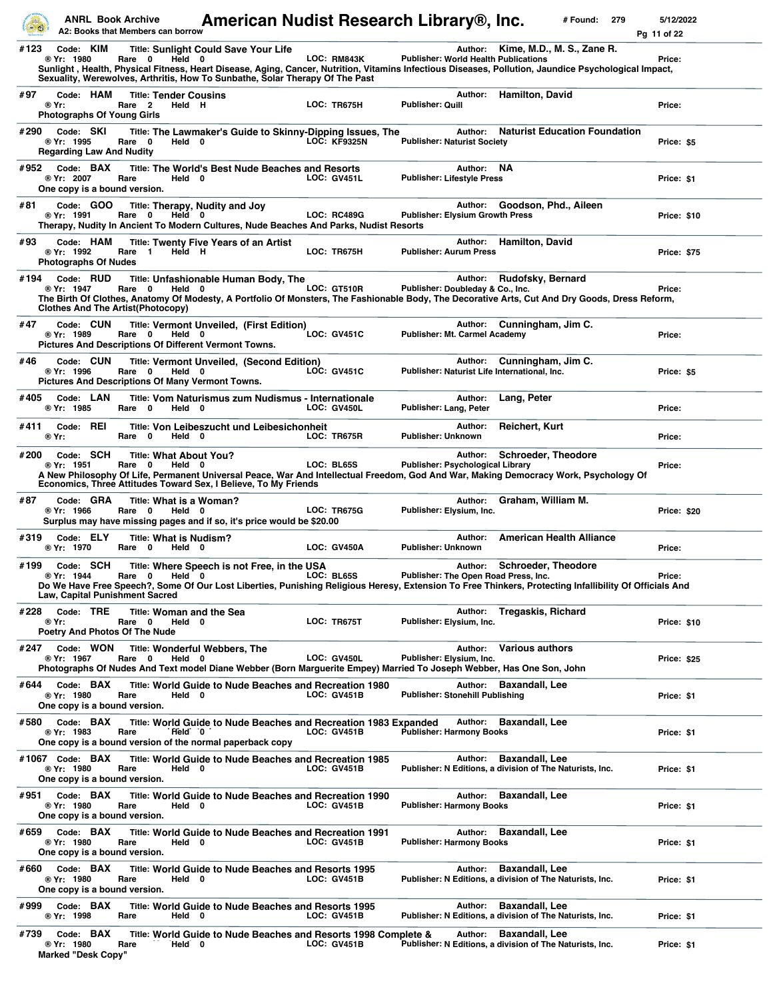|      | <b>ANRL Book Archive</b>                                      | A2: Books that Members can borrow                                                    |                                                                                                                             | American Nudist Research Library®, Inc.                                                                                             |                                                         | # Found:<br>279                                                                                                                                                                            | 5/12/2022<br>Pg 11 of 22 |
|------|---------------------------------------------------------------|--------------------------------------------------------------------------------------|-----------------------------------------------------------------------------------------------------------------------------|-------------------------------------------------------------------------------------------------------------------------------------|---------------------------------------------------------|--------------------------------------------------------------------------------------------------------------------------------------------------------------------------------------------|--------------------------|
| #123 | Code: KIM<br>® Yr: 1980                                       | Rare 0<br>Held 0                                                                     | <b>Title: Sunlight Could Save Your Life</b><br>Sexuality, Werewolves, Arthritis, How To Sunbathe, Solar Therapy Of The Past | LOC: RM843K                                                                                                                         | <b>Publisher: World Health Publications</b>             | Author: Kime, M.D., M. S., Zane R.<br>Sunlight, Health, Physical Fitness, Heart Disease, Aging, Cancer, Nutrition, Vitamins Infectious Diseases, Pollution, Jaundice Psychological Impact, | Price:                   |
| #97  | Code: HAM<br>® Yr:<br><b>Photographs Of Young Girls</b>       | <b>Title: Tender Cousins</b><br>Rare <sub>2</sub><br>Held H                          |                                                                                                                             | LOC: TR675H                                                                                                                         | Author:<br>Publisher: Quill                             | <b>Hamilton, David</b>                                                                                                                                                                     | Price:                   |
| #290 | Code: SKI<br>® Yr: 1995<br><b>Regarding Law And Nudity</b>    | Rare 0<br>Held 0                                                                     |                                                                                                                             | Title: The Lawmaker's Guide to Skinny-Dipping Issues, The<br><b>LOC: KF9325N</b>                                                    | Author:<br><b>Publisher: Naturist Society</b>           | <b>Naturist Education Foundation</b>                                                                                                                                                       | Price: \$5               |
| #952 | Code: BAX<br>® Yr: 2007<br>One copy is a bound version.       | Rare<br>Held 0                                                                       | Title: The World's Best Nude Beaches and Resorts                                                                            | <b>LOC: GV451L</b>                                                                                                                  | Author:<br><b>Publisher: Lifestyle Press</b>            | <b>NA</b>                                                                                                                                                                                  | Price: \$1               |
| #81  | Code: GOO<br>® Yr: 1991                                       | Rare 0<br>Held 0                                                                     | Title: Therapy, Nudity and Joy                                                                                              | <b>LOC: RC489G</b><br>Therapy, Nudity In Ancient To Modern Cultures, Nude Beaches And Parks, Nudist Resorts                         | Author:<br>Publisher: Elysium Growth Press              | Goodson, Phd., Aileen                                                                                                                                                                      | Price: \$10              |
| #93  | Code: HAM<br>® Yr: 1992<br><b>Photographs Of Nudes</b>        | Held H<br>Rare 1                                                                     | <b>Title: Twenty Five Years of an Artist</b>                                                                                | LOC: TR675H                                                                                                                         | Author:<br><b>Publisher: Aurum Press</b>                | <b>Hamilton, David</b>                                                                                                                                                                     | <b>Price: \$75</b>       |
| #194 | Code: RUD<br>® Yr: 1947                                       | Rare 0<br>Held 0<br><b>Clothes And The Artist(Photocopy)</b>                         | Title: Unfashionable Human Body, The                                                                                        | <b>LOC: GT510R</b>                                                                                                                  | Author:<br>Publisher: Doubleday & Co., Inc.             | Rudofsky, Bernard<br>The Birth Of Clothes, Anatomy Of Modesty, A Portfolio Of Monsters, The Fashionable Body, The Decorative Arts, Cut And Dry Goods, Dress Reform,                        | Price:                   |
| #47  | Code: CUN<br>® Yr: 1989                                       | Rare 0<br>Held 0<br><b>Pictures And Descriptions Of Different Vermont Towns.</b>     | Title: Vermont Unveiled, (First Edition)                                                                                    | <b>LOC: GV451C</b>                                                                                                                  | Author:<br><b>Publisher: Mt. Carmel Academy</b>         | Cunningham, Jim C.                                                                                                                                                                         | Price:                   |
| #46  | Code: CUN<br>® Yr: 1996                                       | Rare 0<br>Held 0<br><b>Pictures And Descriptions Of Many Vermont Towns.</b>          | <b>Title: Vermont Unveiled, (Second Edition)</b>                                                                            | <b>LOC: GV451C</b>                                                                                                                  | Author:<br>Publisher: Naturist Life International, Inc. | Cunningham, Jim C.                                                                                                                                                                         | Price: \$5               |
| #405 | Code: LAN<br>® Yr: 1985                                       | Rare 0<br>Held 0                                                                     | Title: Vom Naturismus zum Nudismus - Internationale                                                                         | LOC: GV450L                                                                                                                         | Author:<br>Publisher: Lang, Peter                       | Lang, Peter                                                                                                                                                                                | Price:                   |
| #411 | Code: REI<br>® Yr:                                            | Rare 0<br>Held 0                                                                     | Title: Von Leibeszucht und Leibesichonheit                                                                                  | LOC: TR675R                                                                                                                         | Author:<br><b>Publisher: Unknown</b>                    | Reichert, Kurt                                                                                                                                                                             | Price:                   |
| #200 | Code: SCH<br>® Yr: 1951                                       | <b>Title: What About You?</b><br>Held 0<br>Rare<br>$\mathbf 0$                       | Economics, Three Attitudes Toward Sex, I Believe, To My Friends                                                             | LOC: BL65S                                                                                                                          | Author:<br>Publisher: Psychological Library             | <b>Schroeder, Theodore</b><br>A New Philosophy Of Life, Permanent Universal Peace, War And Intellectual Freedom, God And War, Making Democracy Work, Psychology Of                         | Price:                   |
| #87  | Code: GRA<br>® Yr: 1966                                       | Title: What is a Woman?<br>Rare 0<br>Held 0                                          | Surplus may have missing pages and if so, it's price would be \$20.00                                                       | <b>LOC: TR675G</b>                                                                                                                  | Author:<br>Publisher: Elvsium, Inc.                     | Graham, William M.                                                                                                                                                                         | <b>Price: \$20</b>       |
| #319 | Code: ELY<br>® Yr: 1970                                       | Title: What is Nudism?<br>Rare 0<br>Held 0                                           |                                                                                                                             | LOC: GV450A                                                                                                                         | Author:<br><b>Publisher: Unknown</b>                    | <b>American Health Alliance</b>                                                                                                                                                            | Price:                   |
| #199 | Code: SCH<br>® Yr: 1944                                       | Rare 0 Held 0<br><b>Law, Capital Punishment Sacred</b>                               | Title: Where Speech is not Free, in the USA                                                                                 | <b>LOC: BL65S</b>                                                                                                                   | Publisher: The Open Road Press, Inc.                    | Author: Schroeder, Theodore<br>Do We Have Free Speech?, Some Of Our Lost Liberties, Punishing Religious Heresy, Extension To Free Thinkers, Protecting Infallibility Of Officials And      | Price:                   |
| #228 | Code: TRE<br>® Yr:                                            | <b>Title: Woman and the Sea</b><br>Rare 0<br>Held 0<br>Poetry And Photos Of The Nude |                                                                                                                             | LOC: TR675T                                                                                                                         | Publisher: Elysium, Inc.                                | Author: Tregaskis, Richard                                                                                                                                                                 | Price: \$10              |
| #247 | Code: WON<br>® Yr: 1967                                       | Rare 0<br>Held 0                                                                     | Title: Wonderful Webbers, The                                                                                               | LOC: GV450L<br>Photographs Of Nudes And Text model Diane Webber (Born Marguerite Empey) Married To Joseph Webber, Has One Son, John | Author:<br>Publisher: Elysium, Inc.                     | <b>Various authors</b>                                                                                                                                                                     | <b>Price: \$25</b>       |
| #644 | Code: BAX<br>® Yr: 1980<br>One copy is a bound version.       | Rare<br>Held 0                                                                       | Title: World Guide to Nude Beaches and Recreation 1980                                                                      | <b>LOC: GV451B</b>                                                                                                                  | <b>Publisher: Stonehill Publishing</b>                  | Author: Baxandall, Lee                                                                                                                                                                     | Price: \$1               |
|      | #580 Code: BAX<br>® Yr: 1983                                  | Held 0<br>Rare                                                                       | One copy is a bound version of the normal paperback copy                                                                    | Title: World Guide to Nude Beaches and Recreation 1983 Expanded<br><b>LOC: GV451B</b>                                               | Author:<br>Publisher: Harmony Books                     | <b>Baxandall, Lee</b>                                                                                                                                                                      | Price: \$1               |
|      | #1067 Code: BAX<br>® Yr: 1980<br>One copy is a bound version. | Rare<br>Held 0                                                                       | Title: World Guide to Nude Beaches and Recreation 1985                                                                      | <b>LOC: GV451B</b>                                                                                                                  | Author:                                                 | <b>Baxandall, Lee</b><br>Publisher: N Editions, a division of The Naturists, Inc.                                                                                                          | Price: \$1               |
| #951 | Code: BAX<br>® Yr: 1980<br>One copy is a bound version.       | Rare<br>Held 0                                                                       | Title: World Guide to Nude Beaches and Recreation 1990                                                                      | <b>LOC: GV451B</b>                                                                                                                  | <b>Author:</b><br><b>Publisher: Harmony Books</b>       | <b>Baxandall, Lee</b>                                                                                                                                                                      | Price: \$1               |
| #659 | Code: BAX<br>® Yr: 1980<br>One copy is a bound version.       | Rare<br>Held 0                                                                       | Title: World Guide to Nude Beaches and Recreation 1991                                                                      | <b>LOC: GV451B</b>                                                                                                                  | <b>Publisher: Harmony Books</b>                         | Author: Baxandall, Lee                                                                                                                                                                     | Price: \$1               |
| #660 | Code: BAX<br>® Yr: 1980<br>One copy is a bound version.       | Rare<br>Held 0                                                                       | Title: World Guide to Nude Beaches and Resorts 1995                                                                         | <b>LOC: GV451B</b>                                                                                                                  | Author:                                                 | <b>Baxandall, Lee</b><br>Publisher: N Editions, a division of The Naturists, Inc.                                                                                                          | Price: \$1               |
| #999 | Code: BAX<br>® Yr: 1998                                       | Rare<br>Held 0                                                                       | Title: World Guide to Nude Beaches and Resorts 1995                                                                         | LOC: GV451B                                                                                                                         | Author:                                                 | <b>Baxandall, Lee</b><br>Publisher: N Editions, a division of The Naturists, Inc.                                                                                                          | Price: \$1               |
| #739 | Code: BAX<br>® Yr: 1980<br><b>Marked "Desk Copy"</b>          | Rare<br>Held 0                                                                       |                                                                                                                             | Title: World Guide to Nude Beaches and Resorts 1998 Complete &<br><b>LOC: GV451B</b>                                                |                                                         | Author: Baxandall, Lee<br>Publisher: N Editions, a division of The Naturists, Inc.                                                                                                         | Price: \$1               |